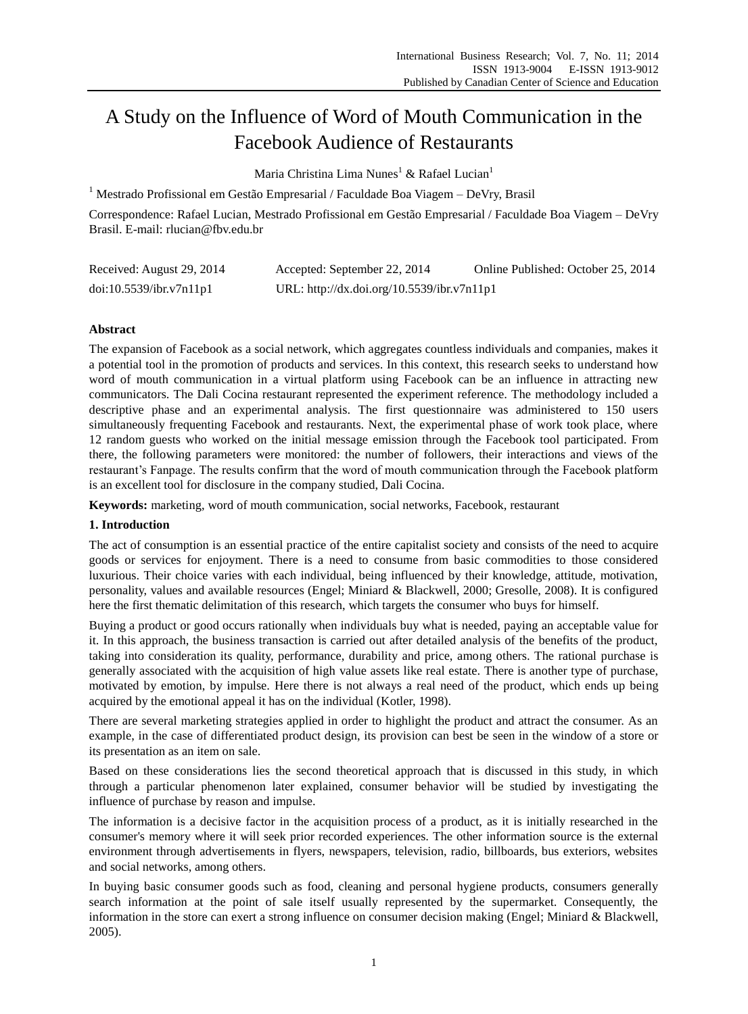# A Study on the Influence of Word of Mouth Communication in the Facebook Audience of Restaurants

Maria Christina Lima Nunes<sup>1</sup> & Rafael Lucian<sup>1</sup>

 $1$  Mestrado Profissional em Gestão Empresarial / Faculdade Boa Viagem – DeVry, Brasil

Correspondence: Rafael Lucian, Mestrado Profissional em Gestão Empresarial / Faculdade Boa Viagem – DeVry Brasil. E-mail: rlucian@fbv.edu.br

| Received: August 29, 2014 | Accepted: September 22, 2014               | Online Published: October 25, 2014 |
|---------------------------|--------------------------------------------|------------------------------------|
| doi:10.5539/ibr.v7n11p1   | URL: http://dx.doi.org/10.5539/ibr.v7n11p1 |                                    |

# **Abstract**

The expansion of Facebook as a social network, which aggregates countless individuals and companies, makes it a potential tool in the promotion of products and services. In this context, this research seeks to understand how word of mouth communication in a virtual platform using Facebook can be an influence in attracting new communicators. The Dali Cocina restaurant represented the experiment reference. The methodology included a descriptive phase and an experimental analysis. The first questionnaire was administered to 150 users simultaneously frequenting Facebook and restaurants. Next, the experimental phase of work took place, where 12 random guests who worked on the initial message emission through the Facebook tool participated. From there, the following parameters were monitored: the number of followers, their interactions and views of the restaurant's Fanpage. The results confirm that the word of mouth communication through the Facebook platform is an excellent tool for disclosure in the company studied, Dali Cocina.

**Keywords:** marketing, word of mouth communication, social networks, Facebook, restaurant

## **1. Introduction**

The act of consumption is an essential practice of the entire capitalist society and consists of the need to acquire goods or services for enjoyment. There is a need to consume from basic commodities to those considered luxurious. Their choice varies with each individual, being influenced by their knowledge, attitude, motivation, personality, values and available resources (Engel; Miniard & Blackwell, 2000; Gresolle, 2008). It is configured here the first thematic delimitation of this research, which targets the consumer who buys for himself.

Buying a product or good occurs rationally when individuals buy what is needed, paying an acceptable value for it. In this approach, the business transaction is carried out after detailed analysis of the benefits of the product, taking into consideration its quality, performance, durability and price, among others. The rational purchase is generally associated with the acquisition of high value assets like real estate. There is another type of purchase, motivated by emotion, by impulse. Here there is not always a real need of the product, which ends up being acquired by the emotional appeal it has on the individual (Kotler, 1998).

There are several marketing strategies applied in order to highlight the product and attract the consumer. As an example, in the case of differentiated product design, its provision can best be seen in the window of a store or its presentation as an item on sale.

Based on these considerations lies the second theoretical approach that is discussed in this study, in which through a particular phenomenon later explained, consumer behavior will be studied by investigating the influence of purchase by reason and impulse.

The information is a decisive factor in the acquisition process of a product, as it is initially researched in the consumer's memory where it will seek prior recorded experiences. The other information source is the external environment through advertisements in flyers, newspapers, television, radio, billboards, bus exteriors, websites and social networks, among others.

In buying basic consumer goods such as food, cleaning and personal hygiene products, consumers generally search information at the point of sale itself usually represented by the supermarket. Consequently, the information in the store can exert a strong influence on consumer decision making (Engel; Miniard & Blackwell, 2005).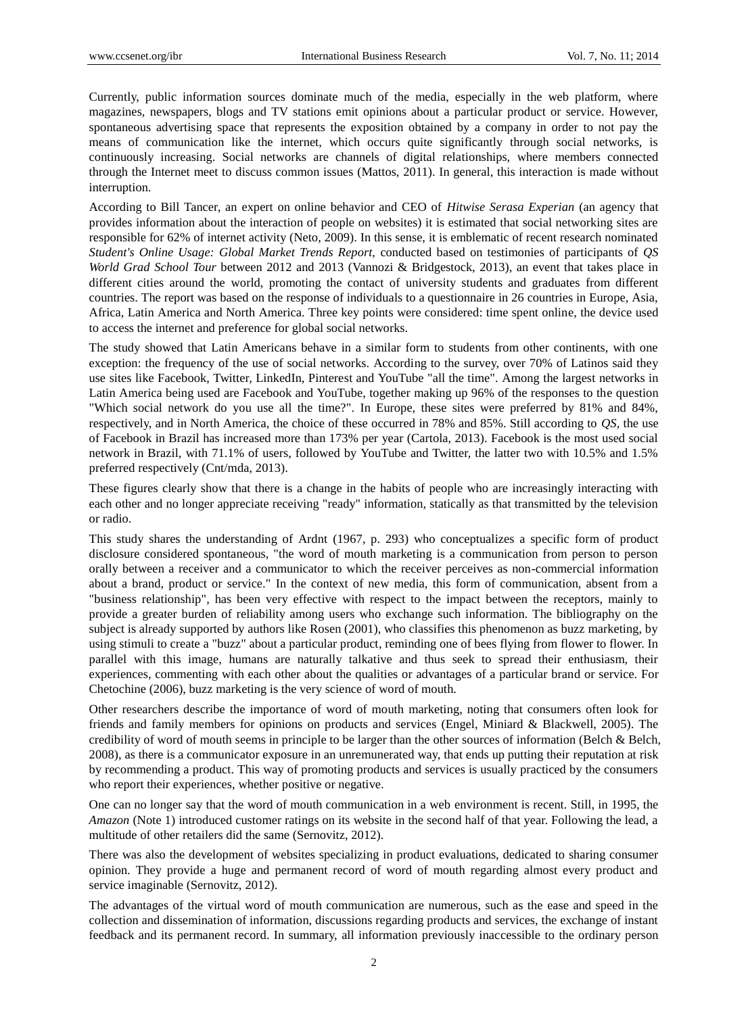Currently, public information sources dominate much of the media, especially in the web platform, where magazines, newspapers, blogs and TV stations emit opinions about a particular product or service. However, spontaneous advertising space that represents the exposition obtained by a company in order to not pay the means of communication like the internet, which occurs quite significantly through social networks, is continuously increasing. Social networks are channels of digital relationships, where members connected through the Internet meet to discuss common issues (Mattos, 2011). In general, this interaction is made without interruption.

According to Bill Tancer, an expert on online behavior and CEO of *Hitwise Serasa Experian* (an agency that provides information about the interaction of people on websites) it is estimated that social networking sites are responsible for 62% of internet activity (Neto, 2009). In this sense, it is emblematic of recent research nominated *Student's Online Usage: Global Market Trends Report,* conducted based on testimonies of participants of *QS World Grad School Tour* between 2012 and 2013 (Vannozi & Bridgestock, 2013), an event that takes place in different cities around the world, promoting the contact of university students and graduates from different countries. The report was based on the response of individuals to a questionnaire in 26 countries in Europe, Asia, Africa, Latin America and North America. Three key points were considered: time spent online, the device used to access the internet and preference for global social networks.

The study showed that Latin Americans behave in a similar form to students from other continents, with one exception: the frequency of the use of social networks. According to the survey, over 70% of Latinos said they use sites like Facebook, Twitter, LinkedIn, Pinterest and YouTube "all the time". Among the largest networks in Latin America being used are Facebook and YouTube, together making up 96% of the responses to the question "Which social network do you use all the time?". In Europe, these sites were preferred by 81% and 84%, respectively, and in North America, the choice of these occurred in 78% and 85%. Still according to *QS,* the use of Facebook in Brazil has increased more than 173% per year (Cartola, 2013). Facebook is the most used social network in Brazil, with 71.1% of users, followed by YouTube and Twitter, the latter two with 10.5% and 1.5% preferred respectively (Cnt/mda, 2013).

These figures clearly show that there is a change in the habits of people who are increasingly interacting with each other and no longer appreciate receiving "ready" information, statically as that transmitted by the television or radio.

This study shares the understanding of Ardnt (1967, p. 293) who conceptualizes a specific form of product disclosure considered spontaneous, "the word of mouth marketing is a communication from person to person orally between a receiver and a communicator to which the receiver perceives as non-commercial information about a brand, product or service." In the context of new media, this form of communication, absent from a "business relationship", has been very effective with respect to the impact between the receptors, mainly to provide a greater burden of reliability among users who exchange such information. The bibliography on the subject is already supported by authors like Rosen (2001), who classifies this phenomenon as buzz marketing, by using stimuli to create a "buzz" about a particular product, reminding one of bees flying from flower to flower. In parallel with this image, humans are naturally talkative and thus seek to spread their enthusiasm, their experiences, commenting with each other about the qualities or advantages of a particular brand or service. For Chetochine (2006), buzz marketing is the very science of word of mouth.

Other researchers describe the importance of word of mouth marketing, noting that consumers often look for friends and family members for opinions on products and services (Engel, Miniard & Blackwell, 2005). The credibility of word of mouth seems in principle to be larger than the other sources of information (Belch & Belch, 2008), as there is a communicator exposure in an unremunerated way, that ends up putting their reputation at risk by recommending a product. This way of promoting products and services is usually practiced by the consumers who report their experiences, whether positive or negative.

One can no longer say that the word of mouth communication in a web environment is recent. Still, in 1995, the *Amazon* (Note 1) introduced customer ratings on its website in the second half of that year. Following the lead, a multitude of other retailers did the same (Sernovitz, 2012).

There was also the development of websites specializing in product evaluations, dedicated to sharing consumer opinion. They provide a huge and permanent record of word of mouth regarding almost every product and service imaginable (Sernovitz, 2012).

The advantages of the virtual word of mouth communication are numerous, such as the ease and speed in the collection and dissemination of information, discussions regarding products and services, the exchange of instant feedback and its permanent record. In summary, all information previously inaccessible to the ordinary person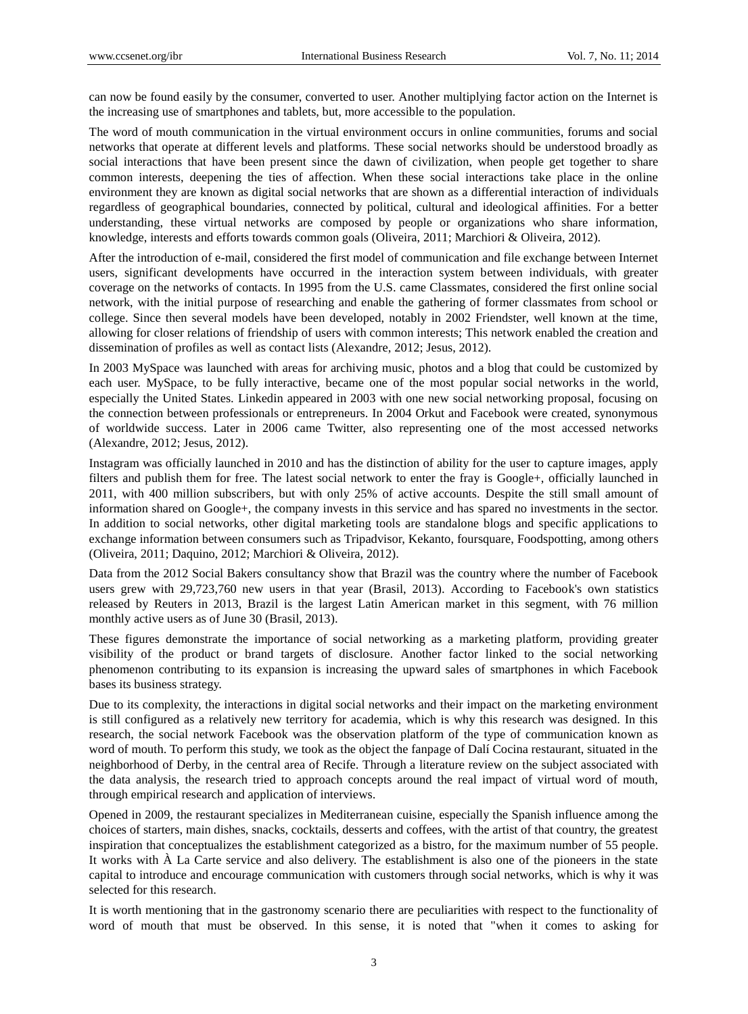can now be found easily by the consumer, converted to user. Another multiplying factor action on the Internet is the increasing use of smartphones and tablets, but, more accessible to the population.

The word of mouth communication in the virtual environment occurs in online communities, forums and social networks that operate at different levels and platforms. These social networks should be understood broadly as social interactions that have been present since the dawn of civilization, when people get together to share common interests, deepening the ties of affection. When these social interactions take place in the online environment they are known as digital social networks that are shown as a differential interaction of individuals regardless of geographical boundaries, connected by political, cultural and ideological affinities. For a better understanding, these virtual networks are composed by people or organizations who share information, knowledge, interests and efforts towards common goals (Oliveira, 2011; Marchiori & Oliveira, 2012).

After the introduction of e-mail, considered the first model of communication and file exchange between Internet users, significant developments have occurred in the interaction system between individuals, with greater coverage on the networks of contacts. In 1995 from the U.S. came Classmates, considered the first online social network, with the initial purpose of researching and enable the gathering of former classmates from school or college. Since then several models have been developed, notably in 2002 Friendster, well known at the time, allowing for closer relations of friendship of users with common interests; This network enabled the creation and dissemination of profiles as well as contact lists (Alexandre, 2012; Jesus, 2012).

In 2003 MySpace was launched with areas for archiving music, photos and a blog that could be customized by each user. MySpace*,* to be fully interactive, became one of the most popular social networks in the world, especially the United States. Linkedin appeared in 2003 with one new social networking proposal, focusing on the connection between professionals or entrepreneurs. In 2004 Orkut and Facebook were created, synonymous of worldwide success. Later in 2006 came Twitter, also representing one of the most accessed networks (Alexandre, 2012; Jesus, 2012).

Instagram was officially launched in 2010 and has the distinction of ability for the user to capture images, apply filters and publish them for free. The latest social network to enter the fray is Google+, officially launched in 2011, with 400 million subscribers, but with only 25% of active accounts. Despite the still small amount of information shared on Google+, the company invests in this service and has spared no investments in the sector. In addition to social networks, other digital marketing tools are standalone blogs and specific applications to exchange information between consumers such as Tripadvisor, Kekanto, foursquare, Foodspotting, among others (Oliveira, 2011; Daquino, 2012; Marchiori & Oliveira, 2012).

Data from the 2012 Social Bakers consultancy show that Brazil was the country where the number of Facebook users grew with 29,723,760 new users in that year (Brasil, 2013). According to Facebook's own statistics released by Reuters in 2013, Brazil is the largest Latin American market in this segment, with 76 million monthly active users as of June 30 (Brasil, 2013).

These figures demonstrate the importance of social networking as a marketing platform, providing greater visibility of the product or brand targets of disclosure. Another factor linked to the social networking phenomenon contributing to its expansion is increasing the upward sales of smartphones in which Facebook bases its business strategy.

Due to its complexity, the interactions in digital social networks and their impact on the marketing environment is still configured as a relatively new territory for academia, which is why this research was designed. In this research, the social network Facebook was the observation platform of the type of communication known as word of mouth. To perform this study, we took as the object the fanpage of Dalí Cocina restaurant, situated in the neighborhood of Derby, in the central area of Recife. Through a literature review on the subject associated with the data analysis, the research tried to approach concepts around the real impact of virtual word of mouth, through empirical research and application of interviews.

Opened in 2009, the restaurant specializes in Mediterranean cuisine, especially the Spanish influence among the choices of starters, main dishes, snacks, cocktails, desserts and coffees, with the artist of that country, the greatest inspiration that conceptualizes the establishment categorized as a bistro, for the maximum number of 55 people. It works with À La Carte service and also delivery. The establishment is also one of the pioneers in the state capital to introduce and encourage communication with customers through social networks, which is why it was selected for this research.

It is worth mentioning that in the gastronomy scenario there are peculiarities with respect to the functionality of word of mouth that must be observed. In this sense, it is noted that "when it comes to asking for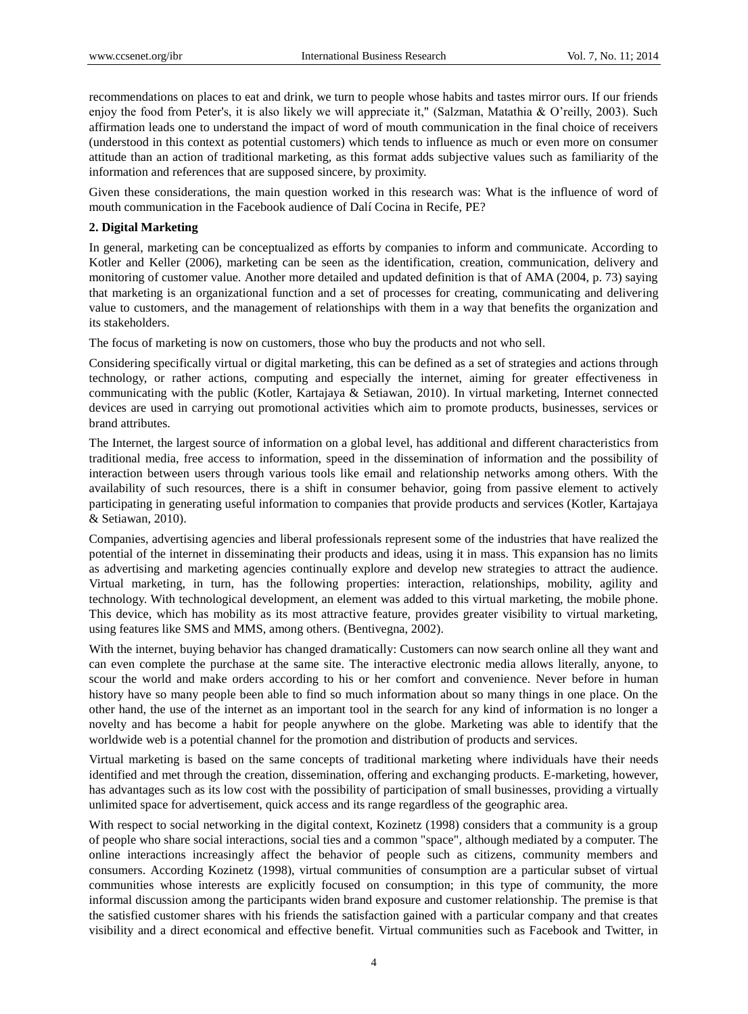recommendations on places to eat and drink, we turn to people whose habits and tastes mirror ours. If our friends enjoy the food from Peter's, it is also likely we will appreciate it," (Salzman, Matathia & O'reilly, 2003). Such affirmation leads one to understand the impact of word of mouth communication in the final choice of receivers (understood in this context as potential customers) which tends to influence as much or even more on consumer attitude than an action of traditional marketing, as this format adds subjective values such as familiarity of the information and references that are supposed sincere, by proximity.

Given these considerations, the main question worked in this research was: What is the influence of word of mouth communication in the Facebook audience of Dalí Cocina in Recife, PE?

#### **2. Digital Marketing**

In general, marketing can be conceptualized as efforts by companies to inform and communicate. According to Kotler and Keller (2006), marketing can be seen as the identification, creation, communication, delivery and monitoring of customer value. Another more detailed and updated definition is that of AMA (2004, p. 73) saying that marketing is an organizational function and a set of processes for creating, communicating and delivering value to customers, and the management of relationships with them in a way that benefits the organization and its stakeholders.

The focus of marketing is now on customers, those who buy the products and not who sell.

Considering specifically virtual or digital marketing, this can be defined as a set of strategies and actions through technology, or rather actions, computing and especially the internet, aiming for greater effectiveness in communicating with the public (Kotler, Kartajaya & Setiawan, 2010). In virtual marketing, Internet connected devices are used in carrying out promotional activities which aim to promote products, businesses, services or brand attributes.

The Internet, the largest source of information on a global level, has additional and different characteristics from traditional media, free access to information, speed in the dissemination of information and the possibility of interaction between users through various tools like email and relationship networks among others. With the availability of such resources, there is a shift in consumer behavior, going from passive element to actively participating in generating useful information to companies that provide products and services (Kotler, Kartajaya & Setiawan, 2010).

Companies, advertising agencies and liberal professionals represent some of the industries that have realized the potential of the internet in disseminating their products and ideas, using it in mass. This expansion has no limits as advertising and marketing agencies continually explore and develop new strategies to attract the audience. Virtual marketing, in turn, has the following properties: interaction, relationships, mobility, agility and technology. With technological development, an element was added to this virtual marketing, the mobile phone. This device, which has mobility as its most attractive feature, provides greater visibility to virtual marketing, using features like SMS and MMS, among others. (Bentivegna, 2002).

With the internet, buying behavior has changed dramatically: Customers can now search online all they want and can even complete the purchase at the same site. The interactive electronic media allows literally, anyone, to scour the world and make orders according to his or her comfort and convenience. Never before in human history have so many people been able to find so much information about so many things in one place. On the other hand, the use of the internet as an important tool in the search for any kind of information is no longer a novelty and has become a habit for people anywhere on the globe. Marketing was able to identify that the worldwide web is a potential channel for the promotion and distribution of products and services.

Virtual marketing is based on the same concepts of traditional marketing where individuals have their needs identified and met through the creation, dissemination, offering and exchanging products. E-marketing, however, has advantages such as its low cost with the possibility of participation of small businesses, providing a virtually unlimited space for advertisement, quick access and its range regardless of the geographic area.

With respect to social networking in the digital context, Kozinetz (1998) considers that a community is a group of people who share social interactions, social ties and a common "space", although mediated by a computer. The online interactions increasingly affect the behavior of people such as citizens, community members and consumers. According Kozinetz (1998), virtual communities of consumption are a particular subset of virtual communities whose interests are explicitly focused on consumption; in this type of community, the more informal discussion among the participants widen brand exposure and customer relationship. The premise is that the satisfied customer shares with his friends the satisfaction gained with a particular company and that creates visibility and a direct economical and effective benefit. Virtual communities such as Facebook and Twitter, in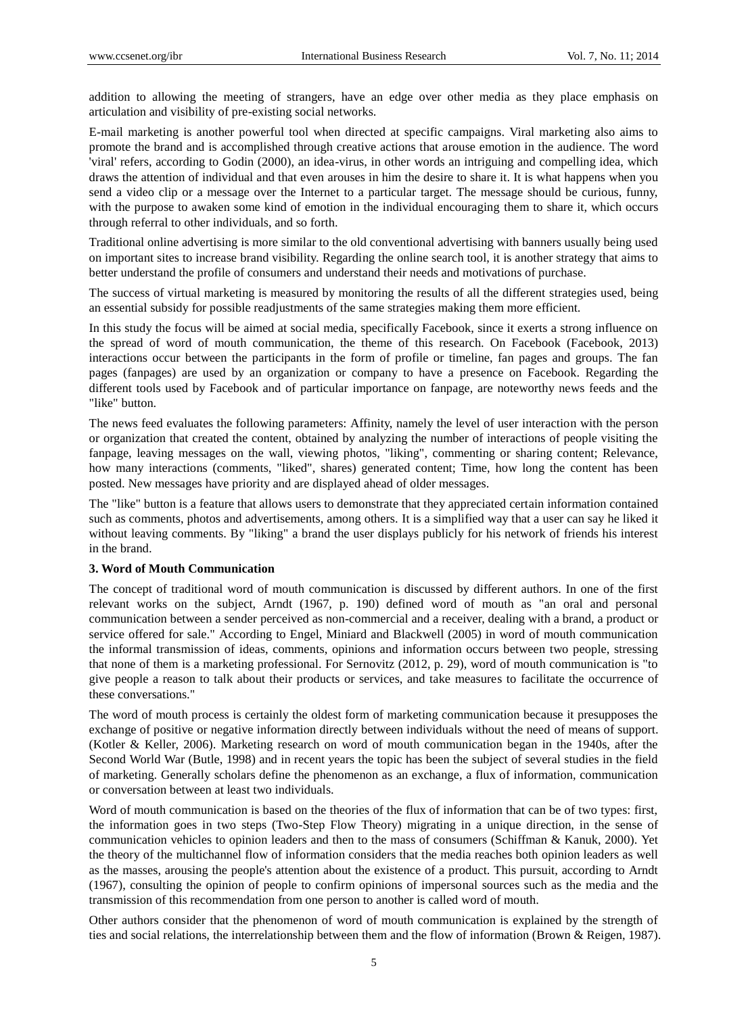addition to allowing the meeting of strangers, have an edge over other media as they place emphasis on articulation and visibility of pre-existing social networks.

E-mail marketing is another powerful tool when directed at specific campaigns. Viral marketing also aims to promote the brand and is accomplished through creative actions that arouse emotion in the audience. The word 'viral' refers, according to Godin (2000), an idea-virus, in other words an intriguing and compelling idea, which draws the attention of individual and that even arouses in him the desire to share it. It is what happens when you send a video clip or a message over the Internet to a particular target. The message should be curious, funny, with the purpose to awaken some kind of emotion in the individual encouraging them to share it, which occurs through referral to other individuals, and so forth.

Traditional online advertising is more similar to the old conventional advertising with banners usually being used on important sites to increase brand visibility. Regarding the online search tool, it is another strategy that aims to better understand the profile of consumers and understand their needs and motivations of purchase.

The success of virtual marketing is measured by monitoring the results of all the different strategies used, being an essential subsidy for possible readjustments of the same strategies making them more efficient.

In this study the focus will be aimed at social media, specifically Facebook, since it exerts a strong influence on the spread of word of mouth communication, the theme of this research. On Facebook (Facebook, 2013) interactions occur between the participants in the form of profile or timeline, fan pages and groups. The fan pages (fanpages) are used by an organization or company to have a presence on Facebook. Regarding the different tools used by Facebook and of particular importance on fanpage, are noteworthy news feeds and the "like" button.

The news feed evaluates the following parameters: Affinity, namely the level of user interaction with the person or organization that created the content, obtained by analyzing the number of interactions of people visiting the fanpage, leaving messages on the wall, viewing photos, "liking", commenting or sharing content; Relevance, how many interactions (comments, "liked", shares) generated content; Time, how long the content has been posted. New messages have priority and are displayed ahead of older messages.

The "like" button is a feature that allows users to demonstrate that they appreciated certain information contained such as comments, photos and advertisements, among others. It is a simplified way that a user can say he liked it without leaving comments. By "liking" a brand the user displays publicly for his network of friends his interest in the brand.

#### **3. Word of Mouth Communication**

The concept of traditional word of mouth communication is discussed by different authors. In one of the first relevant works on the subject, Arndt (1967, p. 190) defined word of mouth as "an oral and personal communication between a sender perceived as non-commercial and a receiver, dealing with a brand, a product or service offered for sale." According to Engel, Miniard and Blackwell (2005) in word of mouth communication the informal transmission of ideas, comments, opinions and information occurs between two people, stressing that none of them is a marketing professional. For Sernovitz (2012, p. 29), word of mouth communication is "to give people a reason to talk about their products or services, and take measures to facilitate the occurrence of these conversations."

The word of mouth process is certainly the oldest form of marketing communication because it presupposes the exchange of positive or negative information directly between individuals without the need of means of support. (Kotler & Keller, 2006). Marketing research on word of mouth communication began in the 1940s, after the Second World War (Butle, 1998) and in recent years the topic has been the subject of several studies in the field of marketing. Generally scholars define the phenomenon as an exchange, a flux of information, communication or conversation between at least two individuals.

Word of mouth communication is based on the theories of the flux of information that can be of two types: first, the information goes in two steps (Two-Step Flow Theory) migrating in a unique direction, in the sense of communication vehicles to opinion leaders and then to the mass of consumers (Schiffman & Kanuk, 2000). Yet the theory of the multichannel flow of information considers that the media reaches both opinion leaders as well as the masses, arousing the people's attention about the existence of a product. This pursuit, according to Arndt (1967), consulting the opinion of people to confirm opinions of impersonal sources such as the media and the transmission of this recommendation from one person to another is called word of mouth.

Other authors consider that the phenomenon of word of mouth communication is explained by the strength of ties and social relations, the interrelationship between them and the flow of information (Brown & Reigen, 1987).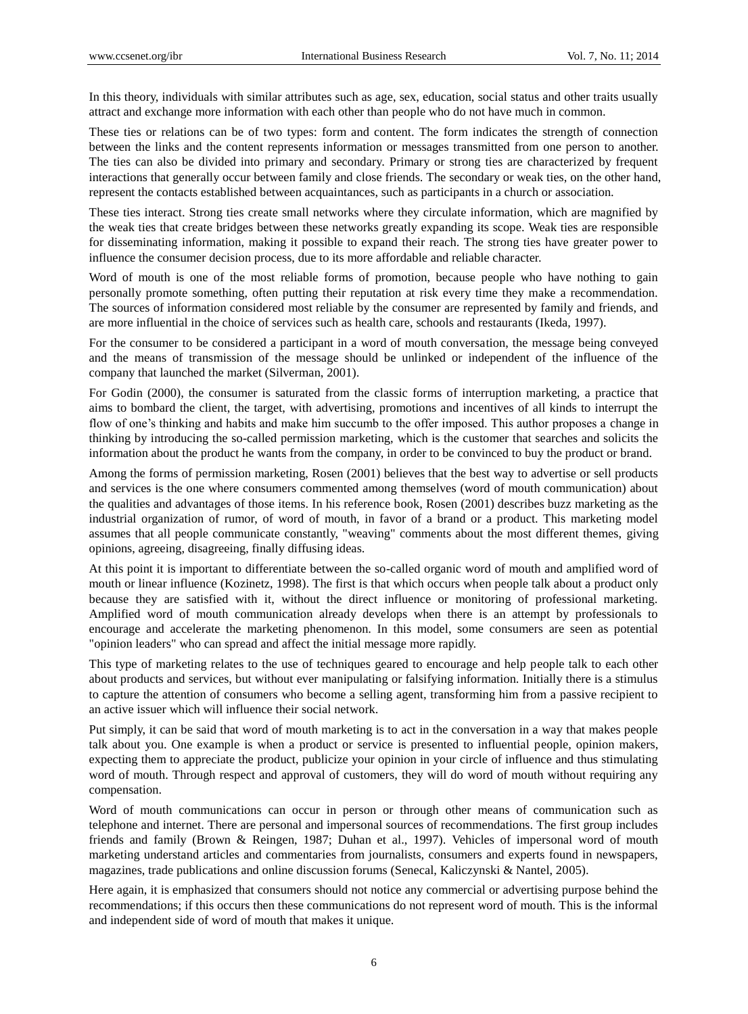In this theory, individuals with similar attributes such as age, sex, education, social status and other traits usually attract and exchange more information with each other than people who do not have much in common.

These ties or relations can be of two types: form and content. The form indicates the strength of connection between the links and the content represents information or messages transmitted from one person to another. The ties can also be divided into primary and secondary. Primary or strong ties are characterized by frequent interactions that generally occur between family and close friends. The secondary or weak ties, on the other hand, represent the contacts established between acquaintances, such as participants in a church or association.

These ties interact. Strong ties create small networks where they circulate information, which are magnified by the weak ties that create bridges between these networks greatly expanding its scope. Weak ties are responsible for disseminating information, making it possible to expand their reach. The strong ties have greater power to influence the consumer decision process, due to its more affordable and reliable character.

Word of mouth is one of the most reliable forms of promotion, because people who have nothing to gain personally promote something, often putting their reputation at risk every time they make a recommendation. The sources of information considered most reliable by the consumer are represented by family and friends, and are more influential in the choice of services such as health care, schools and restaurants (Ikeda, 1997).

For the consumer to be considered a participant in a word of mouth conversation, the message being conveyed and the means of transmission of the message should be unlinked or independent of the influence of the company that launched the market (Silverman, 2001).

For Godin (2000), the consumer is saturated from the classic forms of interruption marketing, a practice that aims to bombard the client, the target, with advertising, promotions and incentives of all kinds to interrupt the flow of one's thinking and habits and make him succumb to the offer imposed. This author proposes a change in thinking by introducing the so-called permission marketing, which is the customer that searches and solicits the information about the product he wants from the company, in order to be convinced to buy the product or brand.

Among the forms of permission marketing, Rosen (2001) believes that the best way to advertise or sell products and services is the one where consumers commented among themselves (word of mouth communication) about the qualities and advantages of those items. In his reference book, Rosen (2001) describes buzz marketing as the industrial organization of rumor, of word of mouth, in favor of a brand or a product. This marketing model assumes that all people communicate constantly, "weaving" comments about the most different themes, giving opinions, agreeing, disagreeing, finally diffusing ideas.

At this point it is important to differentiate between the so-called organic word of mouth and amplified word of mouth or linear influence (Kozinetz, 1998). The first is that which occurs when people talk about a product only because they are satisfied with it, without the direct influence or monitoring of professional marketing. Amplified word of mouth communication already develops when there is an attempt by professionals to encourage and accelerate the marketing phenomenon. In this model, some consumers are seen as potential "opinion leaders" who can spread and affect the initial message more rapidly.

This type of marketing relates to the use of techniques geared to encourage and help people talk to each other about products and services, but without ever manipulating or falsifying information. Initially there is a stimulus to capture the attention of consumers who become a selling agent, transforming him from a passive recipient to an active issuer which will influence their social network.

Put simply, it can be said that word of mouth marketing is to act in the conversation in a way that makes people talk about you. One example is when a product or service is presented to influential people, opinion makers, expecting them to appreciate the product, publicize your opinion in your circle of influence and thus stimulating word of mouth. Through respect and approval of customers, they will do word of mouth without requiring any compensation.

Word of mouth communications can occur in person or through other means of communication such as telephone and internet. There are personal and impersonal sources of recommendations. The first group includes friends and family (Brown & Reingen, 1987; Duhan et al., 1997). Vehicles of impersonal word of mouth marketing understand articles and commentaries from journalists, consumers and experts found in newspapers, magazines, trade publications and online discussion forums (Senecal, Kaliczynski & Nantel, 2005).

Here again, it is emphasized that consumers should not notice any commercial or advertising purpose behind the recommendations; if this occurs then these communications do not represent word of mouth. This is the informal and independent side of word of mouth that makes it unique.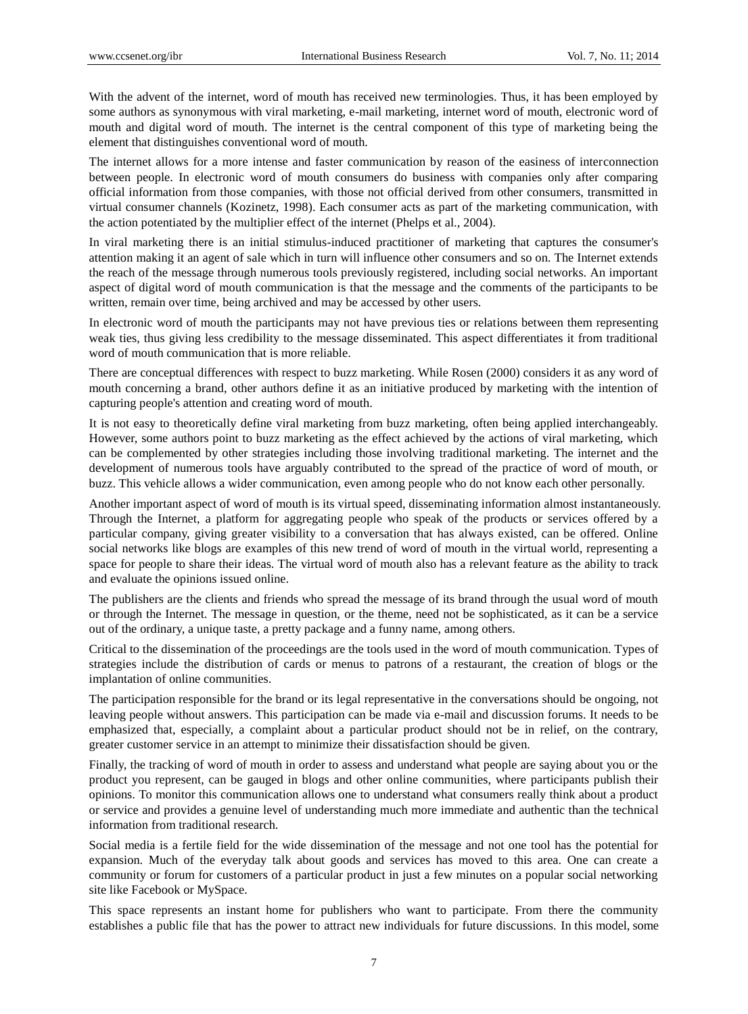With the advent of the internet, word of mouth has received new terminologies. Thus, it has been employed by some authors as synonymous with viral marketing, e-mail marketing, internet word of mouth, electronic word of mouth and digital word of mouth. The internet is the central component of this type of marketing being the element that distinguishes conventional word of mouth.

The internet allows for a more intense and faster communication by reason of the easiness of interconnection between people. In electronic word of mouth consumers do business with companies only after comparing official information from those companies, with those not official derived from other consumers, transmitted in virtual consumer channels (Kozinetz, 1998). Each consumer acts as part of the marketing communication, with the action potentiated by the multiplier effect of the internet (Phelps et al., 2004).

In viral marketing there is an initial stimulus-induced practitioner of marketing that captures the consumer's attention making it an agent of sale which in turn will influence other consumers and so on. The Internet extends the reach of the message through numerous tools previously registered, including social networks. An important aspect of digital word of mouth communication is that the message and the comments of the participants to be written, remain over time, being archived and may be accessed by other users.

In electronic word of mouth the participants may not have previous ties or relations between them representing weak ties, thus giving less credibility to the message disseminated. This aspect differentiates it from traditional word of mouth communication that is more reliable.

There are conceptual differences with respect to buzz marketing. While Rosen (2000) considers it as any word of mouth concerning a brand, other authors define it as an initiative produced by marketing with the intention of capturing people's attention and creating word of mouth.

It is not easy to theoretically define viral marketing from buzz marketing, often being applied interchangeably. However, some authors point to buzz marketing as the effect achieved by the actions of viral marketing, which can be complemented by other strategies including those involving traditional marketing. The internet and the development of numerous tools have arguably contributed to the spread of the practice of word of mouth, or buzz. This vehicle allows a wider communication, even among people who do not know each other personally.

Another important aspect of word of mouth is its virtual speed, disseminating information almost instantaneously. Through the Internet, a platform for aggregating people who speak of the products or services offered by a particular company, giving greater visibility to a conversation that has always existed, can be offered. Online social networks like blogs are examples of this new trend of word of mouth in the virtual world, representing a space for people to share their ideas. The virtual word of mouth also has a relevant feature as the ability to track and evaluate the opinions issued online.

The publishers are the clients and friends who spread the message of its brand through the usual word of mouth or through the Internet. The message in question, or the theme, need not be sophisticated, as it can be a service out of the ordinary, a unique taste, a pretty package and a funny name, among others.

Critical to the dissemination of the proceedings are the tools used in the word of mouth communication. Types of strategies include the distribution of cards or menus to patrons of a restaurant, the creation of blogs or the implantation of online communities.

The participation responsible for the brand or its legal representative in the conversations should be ongoing, not leaving people without answers. This participation can be made via e-mail and discussion forums. It needs to be emphasized that, especially, a complaint about a particular product should not be in relief, on the contrary, greater customer service in an attempt to minimize their dissatisfaction should be given.

Finally, the tracking of word of mouth in order to assess and understand what people are saying about you or the product you represent, can be gauged in blogs and other online communities, where participants publish their opinions. To monitor this communication allows one to understand what consumers really think about a product or service and provides a genuine level of understanding much more immediate and authentic than the technical information from traditional research.

Social media is a fertile field for the wide dissemination of the message and not one tool has the potential for expansion. Much of the everyday talk about goods and services has moved to this area. One can create a community or forum for customers of a particular product in just a few minutes on a popular social networking site like Facebook or MySpace.

This space represents an instant home for publishers who want to participate. From there the community establishes a public file that has the power to attract new individuals for future discussions. In this model, some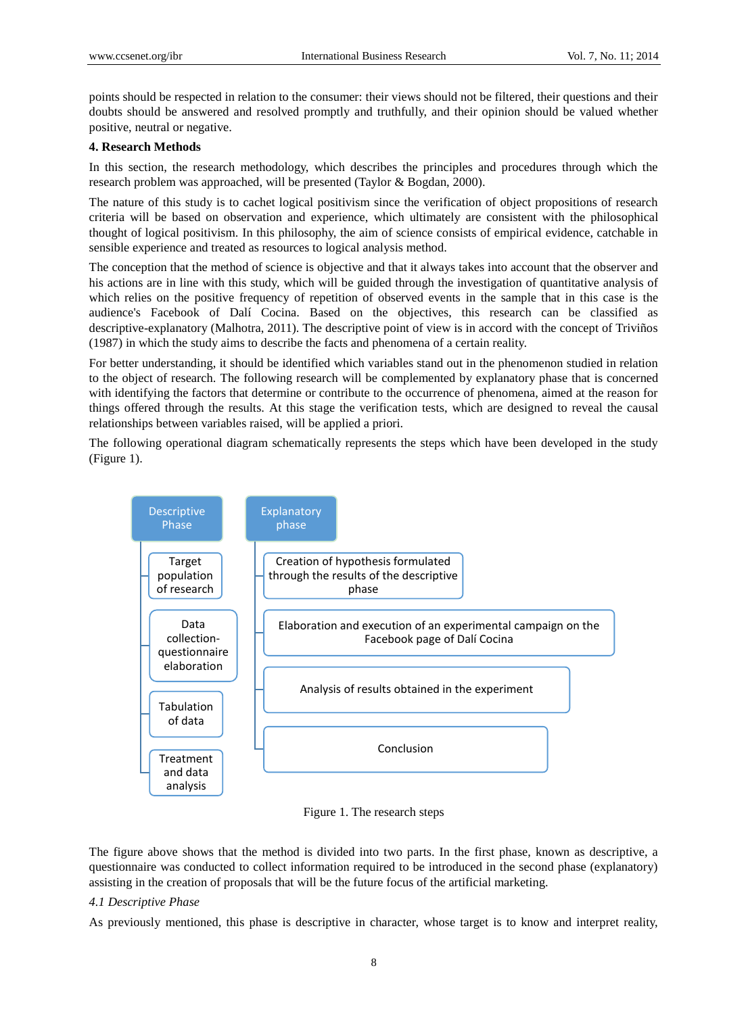points should be respected in relation to the consumer: their views should not be filtered, their questions and their doubts should be answered and resolved promptly and truthfully, and their opinion should be valued whether positive, neutral or negative.

### **4. Research Methods**

In this section, the research methodology, which describes the principles and procedures through which the research problem was approached, will be presented (Taylor & Bogdan, 2000).

The nature of this study is to cachet logical positivism since the verification of object propositions of research criteria will be based on observation and experience, which ultimately are consistent with the philosophical thought of logical positivism. In this philosophy, the aim of science consists of empirical evidence, catchable in sensible experience and treated as resources to logical analysis method.

The conception that the method of science is objective and that it always takes into account that the observer and his actions are in line with this study, which will be guided through the investigation of quantitative analysis of which relies on the positive frequency of repetition of observed events in the sample that in this case is the audience's Facebook of Dalí Cocina. Based on the objectives, this research can be classified as descriptive-explanatory (Malhotra, 2011). The descriptive point of view is in accord with the concept of Triviños (1987) in which the study aims to describe the facts and phenomena of a certain reality.

For better understanding, it should be identified which variables stand out in the phenomenon studied in relation to the object of research. The following research will be complemented by explanatory phase that is concerned with identifying the factors that determine or contribute to the occurrence of phenomena, aimed at the reason for things offered through the results. At this stage the verification tests, which are designed to reveal the causal relationships between variables raised, will be applied a priori.

The following operational diagram schematically represents the steps which have been developed in the study (Figure 1).



Figure 1. The research steps

The figure above shows that the method is divided into two parts. In the first phase, known as descriptive, a questionnaire was conducted to collect information required to be introduced in the second phase (explanatory) assisting in the creation of proposals that will be the future focus of the artificial marketing.

### *4.1 Descriptive Phase*

As previously mentioned, this phase is descriptive in character, whose target is to know and interpret reality,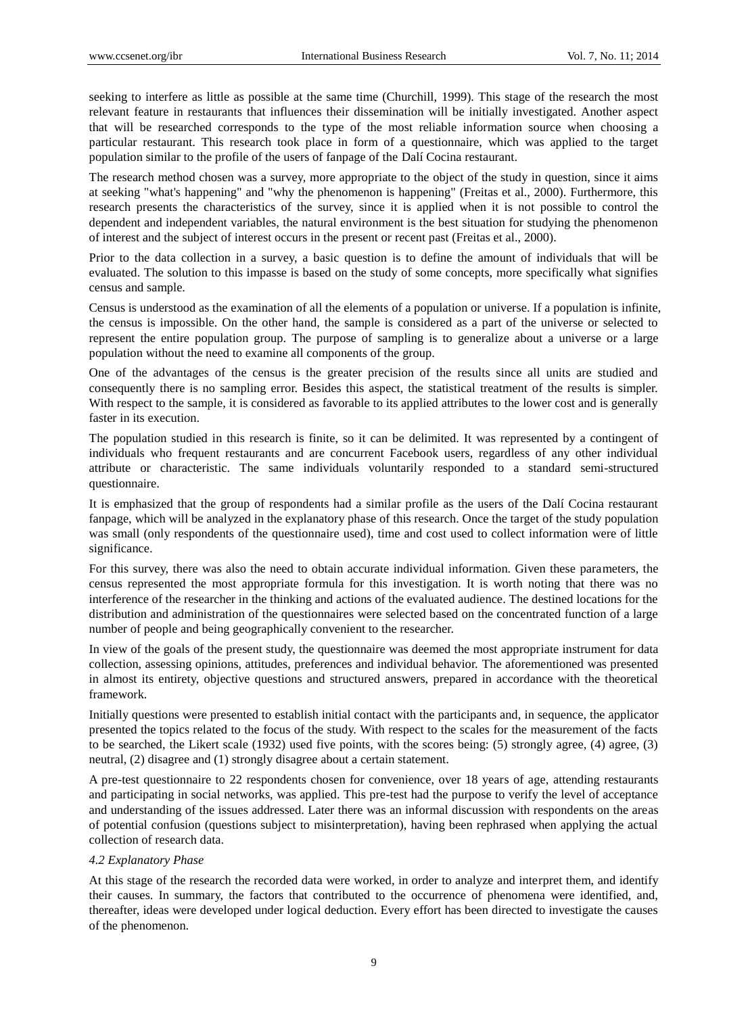seeking to interfere as little as possible at the same time (Churchill, 1999). This stage of the research the most relevant feature in restaurants that influences their dissemination will be initially investigated. Another aspect that will be researched corresponds to the type of the most reliable information source when choosing a particular restaurant. This research took place in form of a questionnaire, which was applied to the target population similar to the profile of the users of fanpage of the Dal íCocina restaurant.

The research method chosen was a survey, more appropriate to the object of the study in question, since it aims at seeking "what's happening" and "why the phenomenon is happening" (Freitas et al., 2000). Furthermore, this research presents the characteristics of the survey, since it is applied when it is not possible to control the dependent and independent variables, the natural environment is the best situation for studying the phenomenon of interest and the subject of interest occurs in the present or recent past (Freitas et al., 2000).

Prior to the data collection in a survey, a basic question is to define the amount of individuals that will be evaluated. The solution to this impasse is based on the study of some concepts, more specifically what signifies census and sample.

Census is understood as the examination of all the elements of a population or universe. If a population is infinite, the census is impossible. On the other hand, the sample is considered as a part of the universe or selected to represent the entire population group. The purpose of sampling is to generalize about a universe or a large population without the need to examine all components of the group.

One of the advantages of the census is the greater precision of the results since all units are studied and consequently there is no sampling error. Besides this aspect, the statistical treatment of the results is simpler. With respect to the sample, it is considered as favorable to its applied attributes to the lower cost and is generally faster in its execution.

The population studied in this research is finite, so it can be delimited. It was represented by a contingent of individuals who frequent restaurants and are concurrent Facebook users, regardless of any other individual attribute or characteristic. The same individuals voluntarily responded to a standard semi-structured questionnaire.

It is emphasized that the group of respondents had a similar profile as the users of the Dalí Cocina restaurant fanpage, which will be analyzed in the explanatory phase of this research. Once the target of the study population was small (only respondents of the questionnaire used), time and cost used to collect information were of little significance.

For this survey, there was also the need to obtain accurate individual information. Given these parameters, the census represented the most appropriate formula for this investigation. It is worth noting that there was no interference of the researcher in the thinking and actions of the evaluated audience. The destined locations for the distribution and administration of the questionnaires were selected based on the concentrated function of a large number of people and being geographically convenient to the researcher.

In view of the goals of the present study, the questionnaire was deemed the most appropriate instrument for data collection, assessing opinions, attitudes, preferences and individual behavior. The aforementioned was presented in almost its entirety, objective questions and structured answers, prepared in accordance with the theoretical framework.

Initially questions were presented to establish initial contact with the participants and, in sequence, the applicator presented the topics related to the focus of the study. With respect to the scales for the measurement of the facts to be searched, the Likert scale (1932) used five points, with the scores being: (5) strongly agree, (4) agree, (3) neutral, (2) disagree and (1) strongly disagree about a certain statement.

A pre-test questionnaire to 22 respondents chosen for convenience, over 18 years of age, attending restaurants and participating in social networks, was applied. This pre-test had the purpose to verify the level of acceptance and understanding of the issues addressed. Later there was an informal discussion with respondents on the areas of potential confusion (questions subject to misinterpretation), having been rephrased when applying the actual collection of research data.

## *4.2 Explanatory Phase*

At this stage of the research the recorded data were worked, in order to analyze and interpret them, and identify their causes. In summary, the factors that contributed to the occurrence of phenomena were identified, and, thereafter, ideas were developed under logical deduction. Every effort has been directed to investigate the causes of the phenomenon.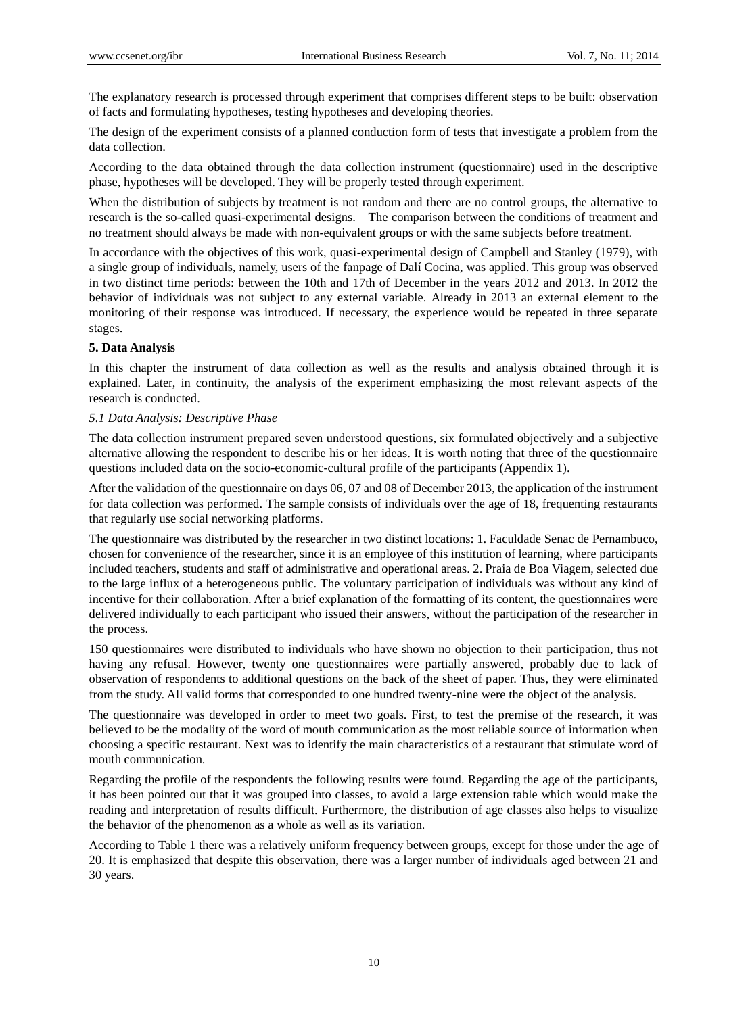The explanatory research is processed through experiment that comprises different steps to be built: observation of facts and formulating hypotheses, testing hypotheses and developing theories.

The design of the experiment consists of a planned conduction form of tests that investigate a problem from the data collection.

According to the data obtained through the data collection instrument (questionnaire) used in the descriptive phase, hypotheses will be developed. They will be properly tested through experiment.

When the distribution of subjects by treatment is not random and there are no control groups, the alternative to research is the so-called quasi-experimental designs. The comparison between the conditions of treatment and no treatment should always be made with non-equivalent groups or with the same subjects before treatment.

In accordance with the objectives of this work, quasi-experimental design of Campbell and Stanley (1979), with a single group of individuals, namely, users of the fanpage of Dalí Cocina, was applied. This group was observed in two distinct time periods: between the 10th and 17th of December in the years 2012 and 2013. In 2012 the behavior of individuals was not subject to any external variable. Already in 2013 an external element to the monitoring of their response was introduced. If necessary, the experience would be repeated in three separate stages.

## **5. Data Analysis**

In this chapter the instrument of data collection as well as the results and analysis obtained through it is explained. Later, in continuity, the analysis of the experiment emphasizing the most relevant aspects of the research is conducted.

## *5.1 Data Analysis: Descriptive Phase*

The data collection instrument prepared seven understood questions, six formulated objectively and a subjective alternative allowing the respondent to describe his or her ideas. It is worth noting that three of the questionnaire questions included data on the socio-economic-cultural profile of the participants (Appendix 1).

After the validation of the questionnaire on days 06, 07 and 08 of December 2013, the application of the instrument for data collection was performed. The sample consists of individuals over the age of 18, frequenting restaurants that regularly use social networking platforms.

The questionnaire was distributed by the researcher in two distinct locations: 1. Faculdade Senac de Pernambuco, chosen for convenience of the researcher, since it is an employee of this institution of learning, where participants included teachers, students and staff of administrative and operational areas. 2. Praia de Boa Viagem, selected due to the large influx of a heterogeneous public. The voluntary participation of individuals was without any kind of incentive for their collaboration. After a brief explanation of the formatting of its content, the questionnaires were delivered individually to each participant who issued their answers, without the participation of the researcher in the process.

150 questionnaires were distributed to individuals who have shown no objection to their participation, thus not having any refusal. However, twenty one questionnaires were partially answered, probably due to lack of observation of respondents to additional questions on the back of the sheet of paper. Thus, they were eliminated from the study. All valid forms that corresponded to one hundred twenty-nine were the object of the analysis.

The questionnaire was developed in order to meet two goals. First, to test the premise of the research, it was believed to be the modality of the word of mouth communication as the most reliable source of information when choosing a specific restaurant. Next was to identify the main characteristics of a restaurant that stimulate word of mouth communication.

Regarding the profile of the respondents the following results were found. Regarding the age of the participants, it has been pointed out that it was grouped into classes, to avoid a large extension table which would make the reading and interpretation of results difficult. Furthermore, the distribution of age classes also helps to visualize the behavior of the phenomenon as a whole as well as its variation.

According to Table 1 there was a relatively uniform frequency between groups, except for those under the age of 20. It is emphasized that despite this observation, there was a larger number of individuals aged between 21 and 30 years.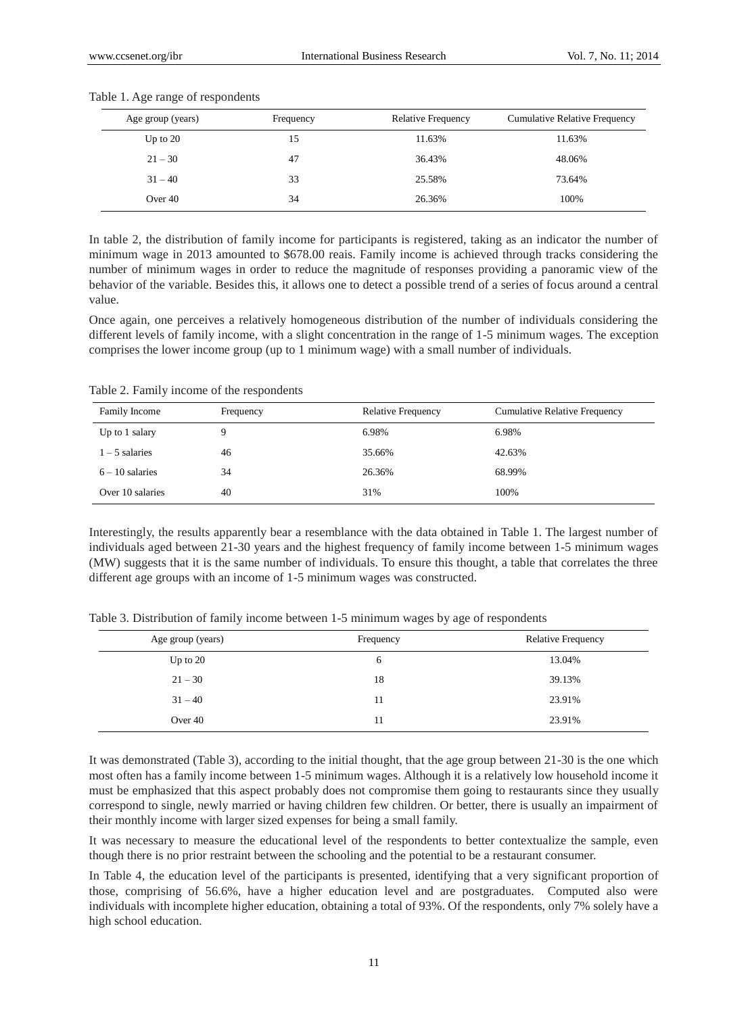| Age group (years) | Frequency | <b>Relative Frequency</b> | Cumulative Relative Frequency |
|-------------------|-----------|---------------------------|-------------------------------|
| Up to $20$        | 15        | 11.63%                    | 11.63%                        |
| $21 - 30$         | 47        | 36.43%                    | 48.06%                        |
| $31 - 40$         | 33        | 25.58%                    | 73.64%                        |
| Over 40           | 34        | 26.36%                    | 100%                          |

Table 1. Age range of respondents

In table 2, the distribution of family income for participants is registered, taking as an indicator the number of minimum wage in 2013 amounted to \$678.00 reais. Family income is achieved through tracks considering the number of minimum wages in order to reduce the magnitude of responses providing a panoramic view of the behavior of the variable. Besides this, it allows one to detect a possible trend of a series of focus around a central value.

Once again, one perceives a relatively homogeneous distribution of the number of individuals considering the different levels of family income, with a slight concentration in the range of 1-5 minimum wages. The exception comprises the lower income group (up to 1 minimum wage) with a small number of individuals.

Table 2. Family income of the respondents

| Family Income     | Frequency | <b>Relative Frequency</b> | Cumulative Relative Frequency |
|-------------------|-----------|---------------------------|-------------------------------|
| Up to 1 salary    |           | 6.98%                     | 6.98%                         |
| $1 - 5$ salaries  | 46        | 35.66%                    | 42.63%                        |
| $6 - 10$ salaries | 34        | 26.36%                    | 68.99%                        |
| Over 10 salaries  | 40        | 31%                       | 100%                          |

Interestingly, the results apparently bear a resemblance with the data obtained in Table 1. The largest number of individuals aged between 21-30 years and the highest frequency of family income between 1-5 minimum wages (MW) suggests that it is the same number of individuals. To ensure this thought, a table that correlates the three different age groups with an income of 1-5 minimum wages was constructed.

Table 3. Distribution of family income between 1-5 minimum wages by age of respondents

| Age group (years) | Frequency | <b>Relative Frequency</b> |
|-------------------|-----------|---------------------------|
| Up to $20$        | 6         | 13.04%                    |
| $21 - 30$         | 18        | 39.13%                    |
| $31 - 40$         | 11        | 23.91%                    |
| Over 40           | 11        | 23.91%                    |

It was demonstrated (Table 3), according to the initial thought, that the age group between 21-30 is the one which most often has a family income between 1-5 minimum wages. Although it is a relatively low household income it must be emphasized that this aspect probably does not compromise them going to restaurants since they usually correspond to single, newly married or having children few children. Or better, there is usually an impairment of their monthly income with larger sized expenses for being a small family.

It was necessary to measure the educational level of the respondents to better contextualize the sample, even though there is no prior restraint between the schooling and the potential to be a restaurant consumer.

In Table 4, the education level of the participants is presented, identifying that a very significant proportion of those, comprising of 56.6%, have a higher education level and are postgraduates. Computed also were individuals with incomplete higher education, obtaining a total of 93%. Of the respondents, only 7% solely have a high school education.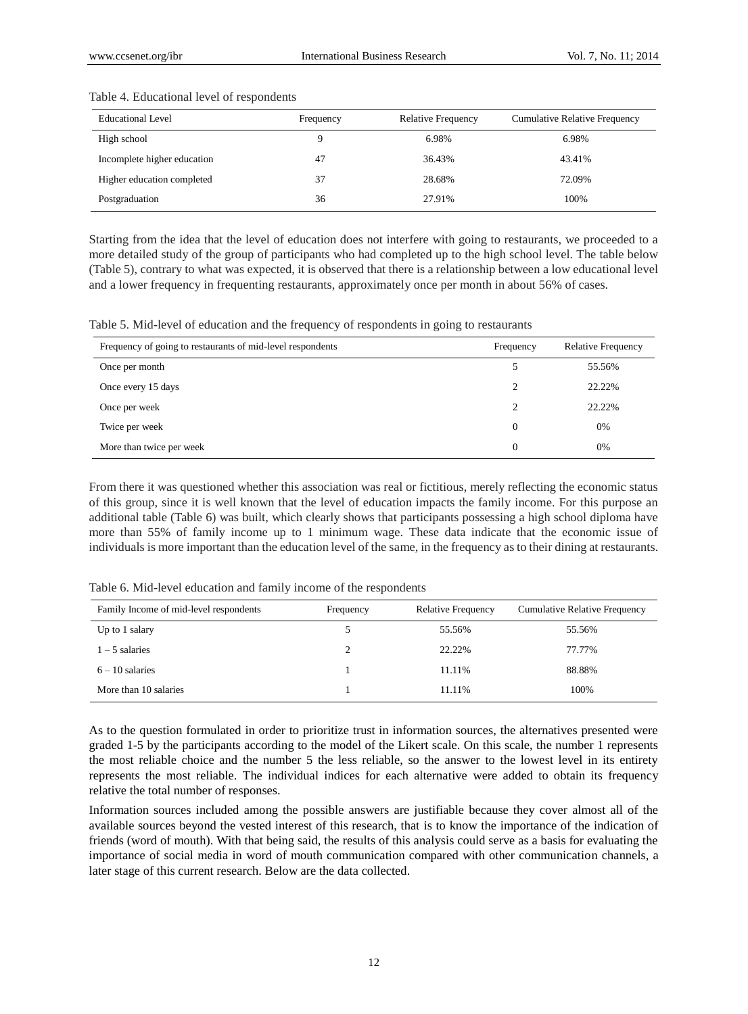| <b>Educational Level</b>    | Frequency | <b>Relative Frequency</b> | Cumulative Relative Frequency |
|-----------------------------|-----------|---------------------------|-------------------------------|
| High school                 | 9         | 6.98%                     | 6.98%                         |
| Incomplete higher education | 47        | 36.43%                    | 43.41%                        |
| Higher education completed  | 37        | 28.68%                    | 72.09%                        |
| Postgraduation              | 36        | 27.91%                    | 100%                          |

#### Table 4. Educational level of respondents

Starting from the idea that the level of education does not interfere with going to restaurants, we proceeded to a more detailed study of the group of participants who had completed up to the high school level. The table below (Table 5), contrary to what was expected, it is observed that there is a relationship between a low educational level and a lower frequency in frequenting restaurants, approximately once per month in about 56% of cases.

Table 5. Mid-level of education and the frequency of respondents in going to restaurants

| Frequency of going to restaurants of mid-level respondents | Frequency      | <b>Relative Frequency</b> |
|------------------------------------------------------------|----------------|---------------------------|
| Once per month                                             |                | 55.56%                    |
| Once every 15 days                                         | $\overline{c}$ | 22.22%                    |
| Once per week                                              | 2              | 22.22%                    |
| Twice per week                                             | $\overline{0}$ | 0%                        |
| More than twice per week                                   | $\overline{0}$ | 0%                        |

From there it was questioned whether this association was real or fictitious, merely reflecting the economic status of this group, since it is well known that the level of education impacts the family income. For this purpose an additional table (Table 6) was built, which clearly shows that participants possessing a high school diploma have more than 55% of family income up to 1 minimum wage. These data indicate that the economic issue of individuals is more important than the education level of the same, in the frequency as to their dining at restaurants.

| Family Income of mid-level respondents | Frequency | <b>Relative Frequency</b> | Cumulative Relative Frequency |
|----------------------------------------|-----------|---------------------------|-------------------------------|
| Up to 1 salary                         |           | 55.56%                    | 55.56%                        |
| $1 - 5$ salaries                       | 2         | 22.22%                    | 77.77%                        |
| $6 - 10$ salaries                      |           | 11.11%                    | 88.88%                        |
| More than 10 salaries                  |           | 11.11%                    | 100%                          |

Table 6. Mid-level education and family income of the respondents

As to the question formulated in order to prioritize trust in information sources, the alternatives presented were graded 1-5 by the participants according to the model of the Likert scale. On this scale, the number 1 represents the most reliable choice and the number 5 the less reliable, so the answer to the lowest level in its entirety represents the most reliable. The individual indices for each alternative were added to obtain its frequency relative the total number of responses.

Information sources included among the possible answers are justifiable because they cover almost all of the available sources beyond the vested interest of this research, that is to know the importance of the indication of friends (word of mouth). With that being said, the results of this analysis could serve as a basis for evaluating the importance of social media in word of mouth communication compared with other communication channels, a later stage of this current research. Below are the data collected.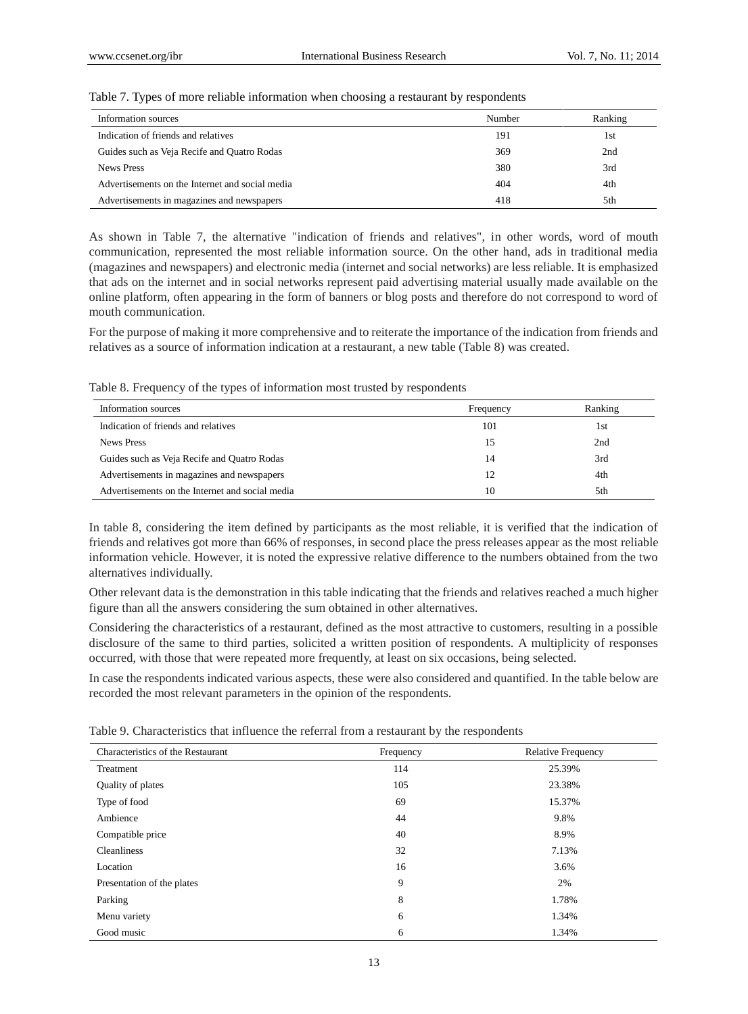| Information sources                             | Number | Ranking |
|-------------------------------------------------|--------|---------|
| Indication of friends and relatives             | 191    | 1st     |
| Guides such as Veja Recife and Quatro Rodas     | 369    | 2nd     |
| News Press                                      | 380    | 3rd     |
| Advertisements on the Internet and social media | 404    | 4th     |
| Advertisements in magazines and newspapers      | 418    | 5th     |

Table 7. Types of more reliable information when choosing a restaurant by respondents

As shown in Table 7, the alternative "indication of friends and relatives", in other words, word of mouth communication, represented the most reliable information source. On the other hand, ads in traditional media (magazines and newspapers) and electronic media (internet and social networks) are less reliable. It is emphasized that ads on the internet and in social networks represent paid advertising material usually made available on the online platform, often appearing in the form of banners or blog posts and therefore do not correspond to word of mouth communication.

For the purpose of making it more comprehensive and to reiterate the importance of the indication from friends and relatives as a source of information indication at a restaurant, a new table (Table 8) was created.

Table 8. Frequency of the types of information most trusted by respondents

| Information sources                             | Frequency | Ranking |
|-------------------------------------------------|-----------|---------|
| Indication of friends and relatives             | 101       | 1st     |
| <b>News Press</b>                               | 15        | 2nd     |
| Guides such as Veja Recife and Quatro Rodas     | 14        | 3rd     |
| Advertisements in magazines and newspapers      | 12        | 4th     |
| Advertisements on the Internet and social media | 10        | 5th     |

In table 8, considering the item defined by participants as the most reliable, it is verified that the indication of friends and relatives got more than 66% of responses, in second place the press releases appear as the most reliable information vehicle. However, it is noted the expressive relative difference to the numbers obtained from the two alternatives individually.

Other relevant data is the demonstration in this table indicating that the friends and relatives reached a much higher figure than all the answers considering the sum obtained in other alternatives.

Considering the characteristics of a restaurant, defined as the most attractive to customers, resulting in a possible disclosure of the same to third parties, solicited a written position of respondents. A multiplicity of responses occurred, with those that were repeated more frequently, at least on six occasions, being selected.

In case the respondents indicated various aspects, these were also considered and quantified. In the table below are recorded the most relevant parameters in the opinion of the respondents.

| Table 9. Characteristics that influence the referral from a restaurant by the respondents |  |  |
|-------------------------------------------------------------------------------------------|--|--|
|-------------------------------------------------------------------------------------------|--|--|

| Characteristics of the Restaurant | Frequency | <b>Relative Frequency</b> |
|-----------------------------------|-----------|---------------------------|
| Treatment                         | 114       | 25.39%                    |
| Quality of plates                 | 105       | 23.38%                    |
| Type of food                      | 69        | 15.37%                    |
| Ambience                          | 44        | 9.8%                      |
| Compatible price                  | 40        | 8.9%                      |
| <b>Cleanliness</b>                | 32        | 7.13%                     |
| Location                          | 16        | 3.6%                      |
| Presentation of the plates        | 9         | 2%                        |
| Parking                           | 8         | 1.78%                     |
| Menu variety                      | 6         | 1.34%                     |
| Good music                        | 6         | 1.34%                     |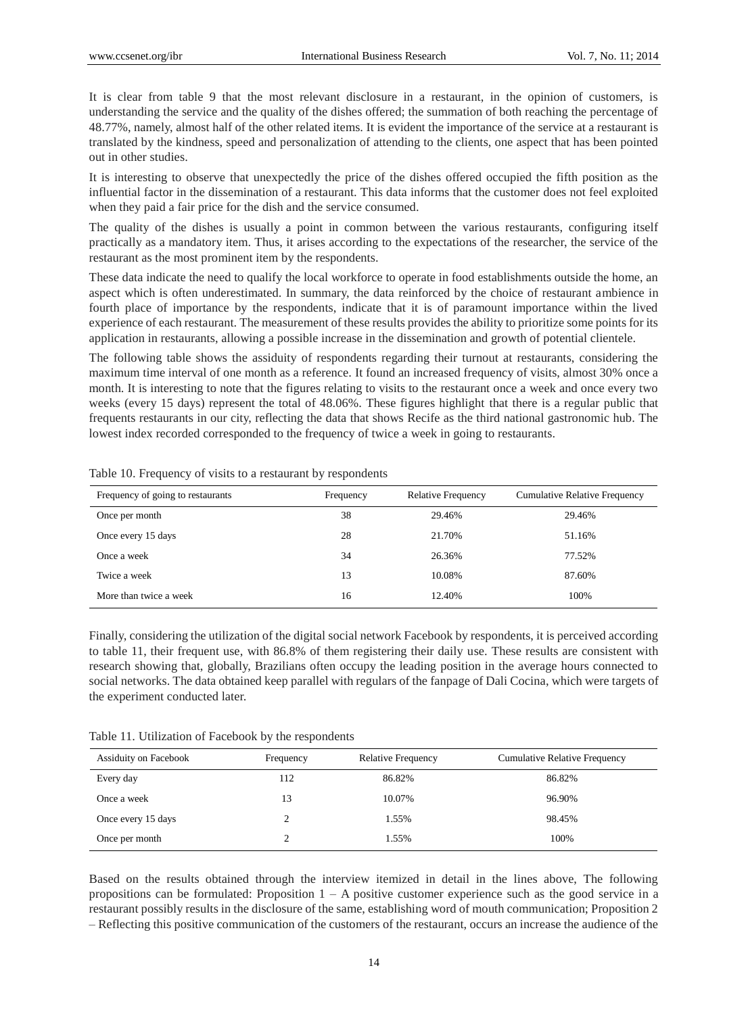It is clear from table 9 that the most relevant disclosure in a restaurant, in the opinion of customers, is understanding the service and the quality of the dishes offered; the summation of both reaching the percentage of 48.77%, namely, almost half of the other related items. It is evident the importance of the service at a restaurant is translated by the kindness, speed and personalization of attending to the clients, one aspect that has been pointed out in other studies.

It is interesting to observe that unexpectedly the price of the dishes offered occupied the fifth position as the influential factor in the dissemination of a restaurant. This data informs that the customer does not feel exploited when they paid a fair price for the dish and the service consumed.

The quality of the dishes is usually a point in common between the various restaurants, configuring itself practically as a mandatory item. Thus, it arises according to the expectations of the researcher, the service of the restaurant as the most prominent item by the respondents.

These data indicate the need to qualify the local workforce to operate in food establishments outside the home, an aspect which is often underestimated. In summary, the data reinforced by the choice of restaurant ambience in fourth place of importance by the respondents, indicate that it is of paramount importance within the lived experience of each restaurant. The measurement of these results provides the ability to prioritize some points for its application in restaurants, allowing a possible increase in the dissemination and growth of potential clientele.

The following table shows the assiduity of respondents regarding their turnout at restaurants, considering the maximum time interval of one month as a reference. It found an increased frequency of visits, almost 30% once a month. It is interesting to note that the figures relating to visits to the restaurant once a week and once every two weeks (every 15 days) represent the total of 48.06%. These figures highlight that there is a regular public that frequents restaurants in our city, reflecting the data that shows Recife as the third national gastronomic hub. The lowest index recorded corresponded to the frequency of twice a week in going to restaurants.

| Frequency of going to restaurants | Frequency | <b>Relative Frequency</b> | <b>Cumulative Relative Frequency</b> |
|-----------------------------------|-----------|---------------------------|--------------------------------------|
| Once per month                    | 38        | 29.46%                    | 29.46%                               |
| Once every 15 days                | 28        | 21.70%                    | 51.16%                               |
| Once a week                       | 34        | 26.36%                    | 77.52%                               |
| Twice a week                      | 13        | 10.08%                    | 87.60%                               |
| More than twice a week            | 16        | 12.40%                    | 100%                                 |

Table 10. Frequency of visits to a restaurant by respondents

Finally, considering the utilization of the digital social network Facebook by respondents, it is perceived according to table 11, their frequent use, with 86.8% of them registering their daily use. These results are consistent with research showing that, globally, Brazilians often occupy the leading position in the average hours connected to social networks. The data obtained keep parallel with regulars of the fanpage of Dali Cocina, which were targets of the experiment conducted later.

| <b>Assiduity on Facebook</b> | Frequency | <b>Relative Frequency</b> | <b>Cumulative Relative Frequency</b> |
|------------------------------|-----------|---------------------------|--------------------------------------|
| Every day                    | 112       | 86.82%                    | 86.82%                               |
| Once a week                  | 13        | 10.07%                    | 96.90%                               |
| Once every 15 days           |           | 1.55%                     | 98.45%                               |
| Once per month               |           | 1.55%                     | 100%                                 |

Table 11. Utilization of Facebook by the respondents

Based on the results obtained through the interview itemized in detail in the lines above, The following propositions can be formulated: Proposition  $1 - A$  positive customer experience such as the good service in a restaurant possibly results in the disclosure of the same, establishing word of mouth communication; Proposition 2 – Reflecting this positive communication of the customers of the restaurant, occurs an increase the audience of the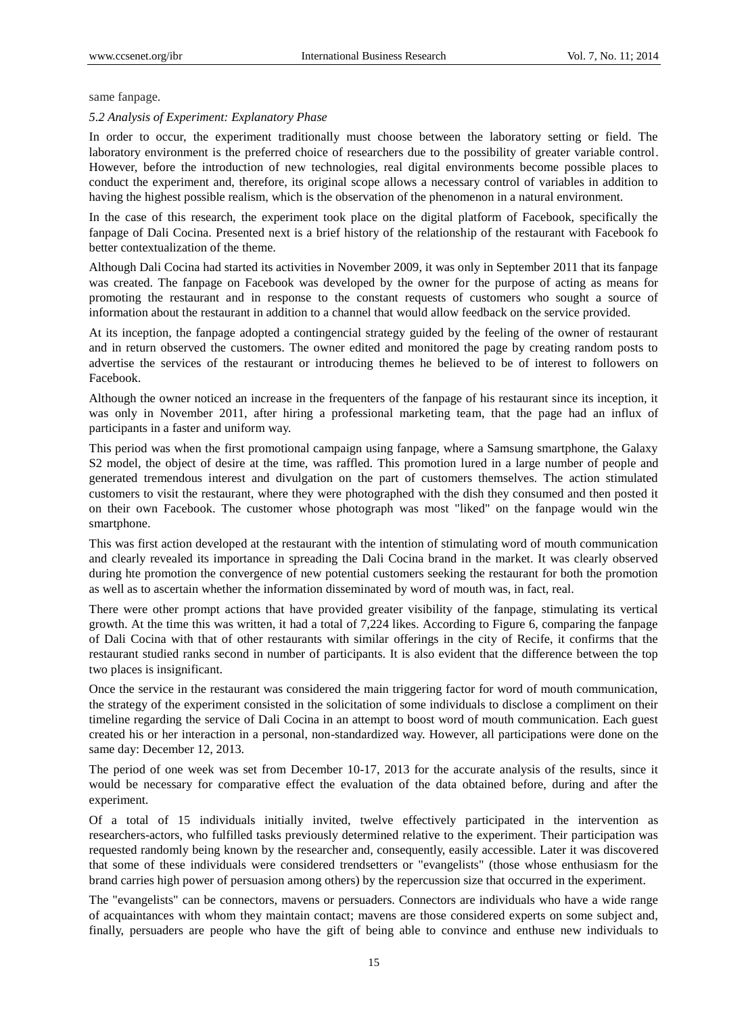same fanpage.

#### *5.2 Analysis of Experiment: Explanatory Phase*

In order to occur, the experiment traditionally must choose between the laboratory setting or field. The laboratory environment is the preferred choice of researchers due to the possibility of greater variable control. However, before the introduction of new technologies, real digital environments become possible places to conduct the experiment and, therefore, its original scope allows a necessary control of variables in addition to having the highest possible realism, which is the observation of the phenomenon in a natural environment.

In the case of this research, the experiment took place on the digital platform of Facebook, specifically the fanpage of Dali Cocina. Presented next is a brief history of the relationship of the restaurant with Facebook fo better contextualization of the theme.

Although Dali Cocina had started its activities in November 2009, it was only in September 2011 that its fanpage was created. The fanpage on Facebook was developed by the owner for the purpose of acting as means for promoting the restaurant and in response to the constant requests of customers who sought a source of information about the restaurant in addition to a channel that would allow feedback on the service provided.

At its inception, the fanpage adopted a contingencial strategy guided by the feeling of the owner of restaurant and in return observed the customers. The owner edited and monitored the page by creating random posts to advertise the services of the restaurant or introducing themes he believed to be of interest to followers on Facebook.

Although the owner noticed an increase in the frequenters of the fanpage of his restaurant since its inception, it was only in November 2011, after hiring a professional marketing team, that the page had an influx of participants in a faster and uniform way.

This period was when the first promotional campaign using fanpage, where a Samsung smartphone, the Galaxy S2 model, the object of desire at the time, was raffled. This promotion lured in a large number of people and generated tremendous interest and divulgation on the part of customers themselves. The action stimulated customers to visit the restaurant, where they were photographed with the dish they consumed and then posted it on their own Facebook. The customer whose photograph was most "liked" on the fanpage would win the smartphone.

This was first action developed at the restaurant with the intention of stimulating word of mouth communication and clearly revealed its importance in spreading the Dali Cocina brand in the market. It was clearly observed during hte promotion the convergence of new potential customers seeking the restaurant for both the promotion as well as to ascertain whether the information disseminated by word of mouth was, in fact, real.

There were other prompt actions that have provided greater visibility of the fanpage, stimulating its vertical growth. At the time this was written, it had a total of 7,224 likes. According to Figure 6, comparing the fanpage of Dali Cocina with that of other restaurants with similar offerings in the city of Recife, it confirms that the restaurant studied ranks second in number of participants. It is also evident that the difference between the top two places is insignificant.

Once the service in the restaurant was considered the main triggering factor for word of mouth communication, the strategy of the experiment consisted in the solicitation of some individuals to disclose a compliment on their timeline regarding the service of Dali Cocina in an attempt to boost word of mouth communication. Each guest created his or her interaction in a personal, non-standardized way. However, all participations were done on the same day: December 12, 2013.

The period of one week was set from December 10-17, 2013 for the accurate analysis of the results, since it would be necessary for comparative effect the evaluation of the data obtained before, during and after the experiment.

Of a total of 15 individuals initially invited, twelve effectively participated in the intervention as researchers-actors, who fulfilled tasks previously determined relative to the experiment. Their participation was requested randomly being known by the researcher and, consequently, easily accessible. Later it was discovered that some of these individuals were considered trendsetters or "evangelists" (those whose enthusiasm for the brand carries high power of persuasion among others) by the repercussion size that occurred in the experiment.

The "evangelists" can be connectors, mavens or persuaders. Connectors are individuals who have a wide range of acquaintances with whom they maintain contact; mavens are those considered experts on some subject and, finally, persuaders are people who have the gift of being able to convince and enthuse new individuals to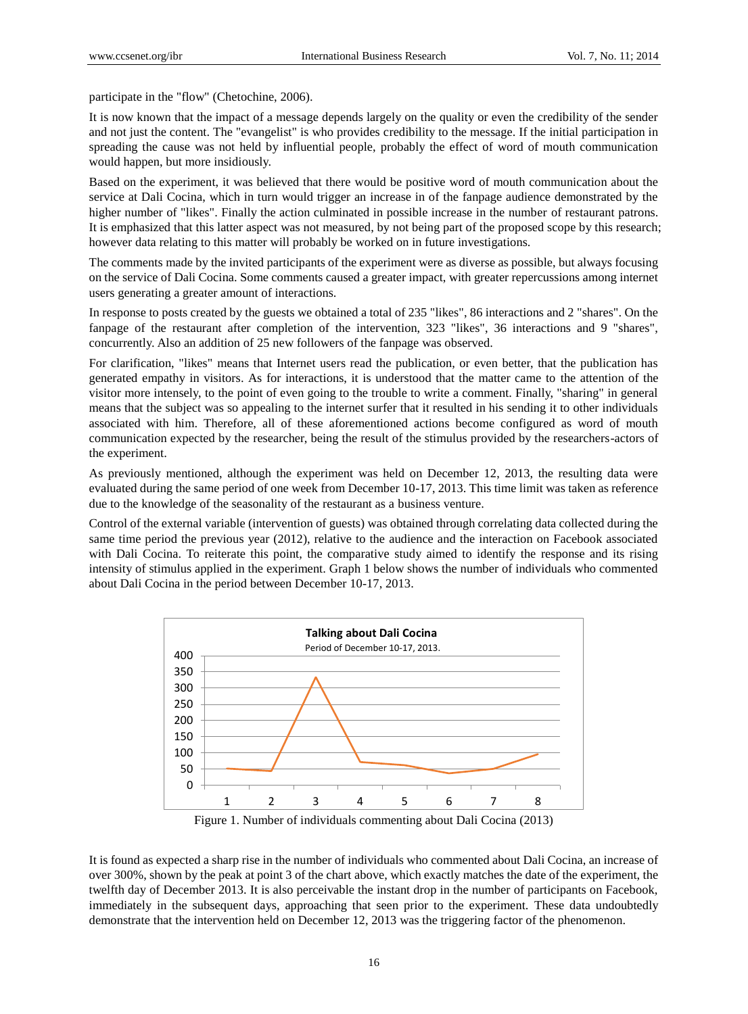participate in the "flow" (Chetochine, 2006).

It is now known that the impact of a message depends largely on the quality or even the credibility of the sender and not just the content. The "evangelist" is who provides credibility to the message. If the initial participation in spreading the cause was not held by influential people, probably the effect of word of mouth communication would happen, but more insidiously.

Based on the experiment, it was believed that there would be positive word of mouth communication about the service at Dali Cocina, which in turn would trigger an increase in of the fanpage audience demonstrated by the higher number of "likes". Finally the action culminated in possible increase in the number of restaurant patrons. It is emphasized that this latter aspect was not measured, by not being part of the proposed scope by this research; however data relating to this matter will probably be worked on in future investigations.

The comments made by the invited participants of the experiment were as diverse as possible, but always focusing on the service of Dali Cocina. Some comments caused a greater impact, with greater repercussions among internet users generating a greater amount of interactions.

In response to posts created by the guests we obtained a total of 235 "likes", 86 interactions and 2 "shares". On the fanpage of the restaurant after completion of the intervention, 323 "likes", 36 interactions and 9 "shares", concurrently. Also an addition of 25 new followers of the fanpage was observed.

For clarification, "likes" means that Internet users read the publication, or even better, that the publication has generated empathy in visitors. As for interactions, it is understood that the matter came to the attention of the visitor more intensely, to the point of even going to the trouble to write a comment. Finally, "sharing" in general means that the subject was so appealing to the internet surfer that it resulted in his sending it to other individuals associated with him. Therefore, all of these aforementioned actions become configured as word of mouth communication expected by the researcher, being the result of the stimulus provided by the researchers-actors of the experiment.

As previously mentioned, although the experiment was held on December 12, 2013, the resulting data were evaluated during the same period of one week from December 10-17, 2013. This time limit was taken as reference due to the knowledge of the seasonality of the restaurant as a business venture.

Control of the external variable (intervention of guests) was obtained through correlating data collected during the same time period the previous year (2012), relative to the audience and the interaction on Facebook associated with Dali Cocina. To reiterate this point, the comparative study aimed to identify the response and its rising intensity of stimulus applied in the experiment. Graph 1 below shows the number of individuals who commented about Dali Cocina in the period between December 10-17, 2013.



Figure 1. Number of individuals commenting about Dali Cocina (2013)

It is found as expected a sharp rise in the number of individuals who commented about Dali Cocina, an increase of over 300%, shown by the peak at point 3 of the chart above, which exactly matches the date of the experiment, the twelfth day of December 2013. It is also perceivable the instant drop in the number of participants on Facebook, immediately in the subsequent days, approaching that seen prior to the experiment. These data undoubtedly demonstrate that the intervention held on December 12, 2013 was the triggering factor of the phenomenon.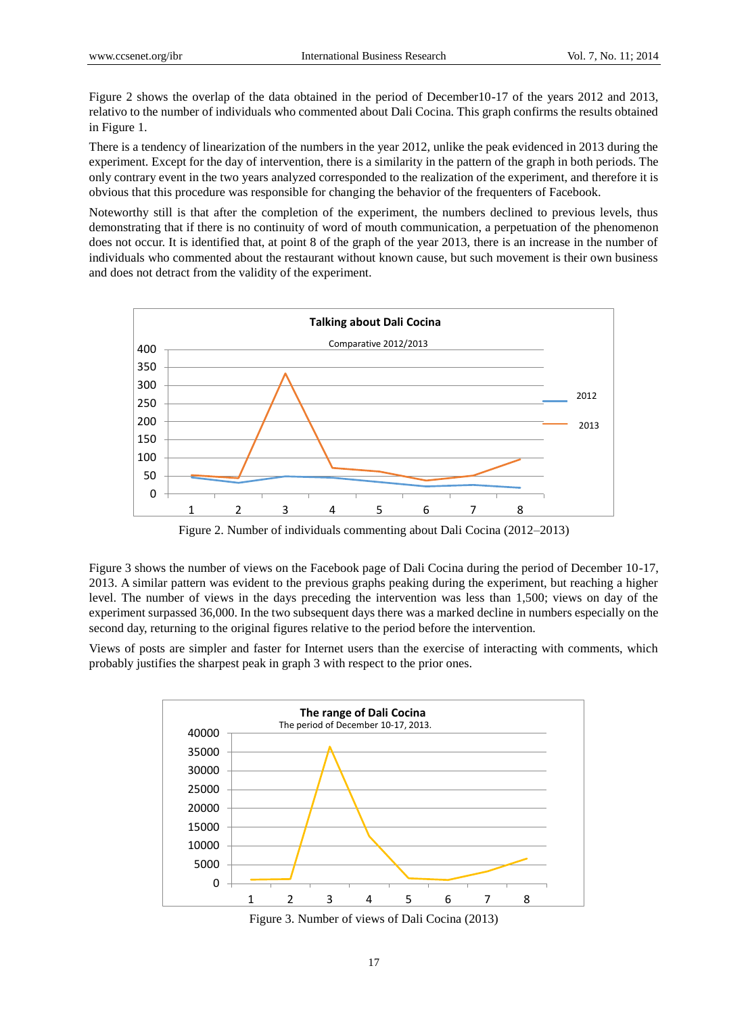Figure 2 shows the overlap of the data obtained in the period of December10-17 of the years 2012 and 2013, relativo to the number of individuals who commented about Dali Cocina. This graph confirms the results obtained in Figure 1.

There is a tendency of linearization of the numbers in the year 2012, unlike the peak evidenced in 2013 during the experiment. Except for the day of intervention, there is a similarity in the pattern of the graph in both periods. The only contrary event in the two years analyzed corresponded to the realization of the experiment, and therefore it is obvious that this procedure was responsible for changing the behavior of the frequenters of Facebook.

Noteworthy still is that after the completion of the experiment, the numbers declined to previous levels, thus demonstrating that if there is no continuity of word of mouth communication, a perpetuation of the phenomenon does not occur. It is identified that, at point 8 of the graph of the year 2013, there is an increase in the number of individuals who commented about the restaurant without known cause, but such movement is their own business and does not detract from the validity of the experiment.



Figure 2. Number of individuals commenting about Dali Cocina (2012–2013)

Figure 3 shows the number of views on the Facebook page of Dali Cocina during the period of December 10-17, 2013. A similar pattern was evident to the previous graphs peaking during the experiment, but reaching a higher level. The number of views in the days preceding the intervention was less than 1,500; views on day of the experiment surpassed 36,000. In the two subsequent days there was a marked decline in numbers especially on the second day, returning to the original figures relative to the period before the intervention.

Views of posts are simpler and faster for Internet users than the exercise of interacting with comments, which probably justifies the sharpest peak in graph 3 with respect to the prior ones.



Figure 3. Number of views of Dali Cocina (2013)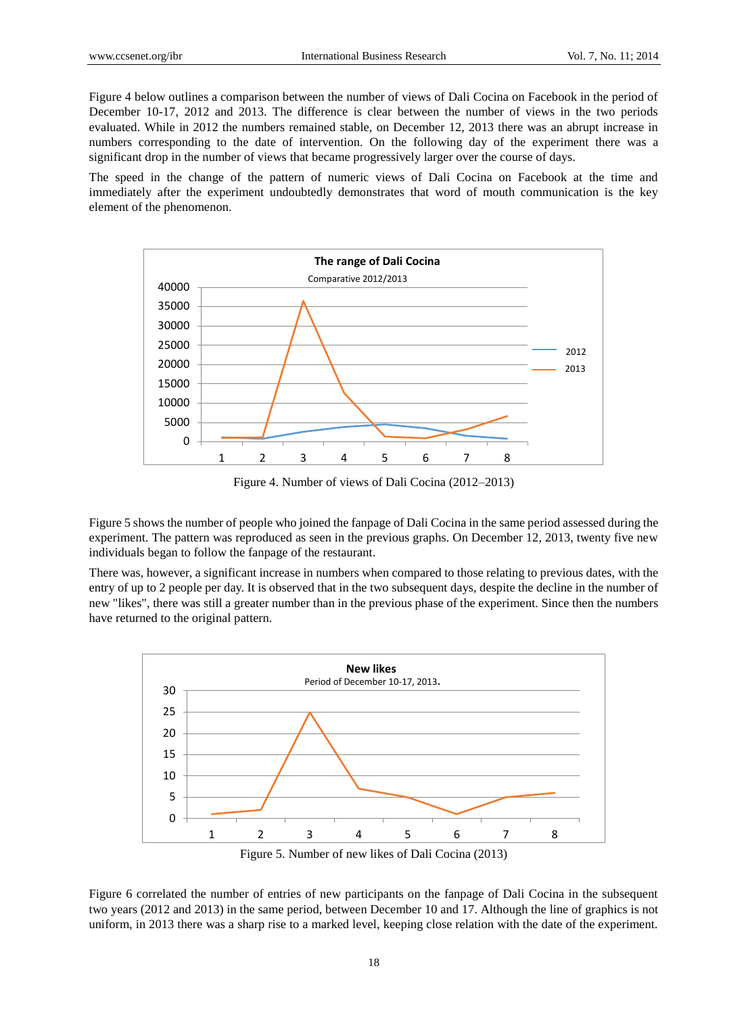Figure 4 below outlines a comparison between the number of views of Dali Cocina on Facebook in the period of December 10-17, 2012 and 2013. The difference is clear between the number of views in the two periods evaluated. While in 2012 the numbers remained stable, on December 12, 2013 there was an abrupt increase in numbers corresponding to the date of intervention. On the following day of the experiment there was a significant drop in the number of views that became progressively larger over the course of days.

The speed in the change of the pattern of numeric views of Dali Cocina on Facebook at the time and immediately after the experiment undoubtedly demonstrates that word of mouth communication is the key element of the phenomenon.



Figure 4. Number of views of Dali Cocina (2012–2013)

Figure 5 shows the number of people who joined the fanpage of Dali Cocina in the same period assessed during the experiment. The pattern was reproduced as seen in the previous graphs. On December 12, 2013, twenty five new individuals began to follow the fanpage of the restaurant.

There was, however, a significant increase in numbers when compared to those relating to previous dates, with the entry of up to 2 people per day. It is observed that in the two subsequent days, despite the decline in the number of new "likes", there was still a greater number than in the previous phase of the experiment. Since then the numbers have returned to the original pattern.



Figure 5. Number of new likes of Dali Cocina (2013)

Figure 6 correlated the number of entries of new participants on the fanpage of Dali Cocina in the subsequent two years (2012 and 2013) in the same period, between December 10 and 17. Although the line of graphics is not uniform, in 2013 there was a sharp rise to a marked level, keeping close relation with the date of the experiment.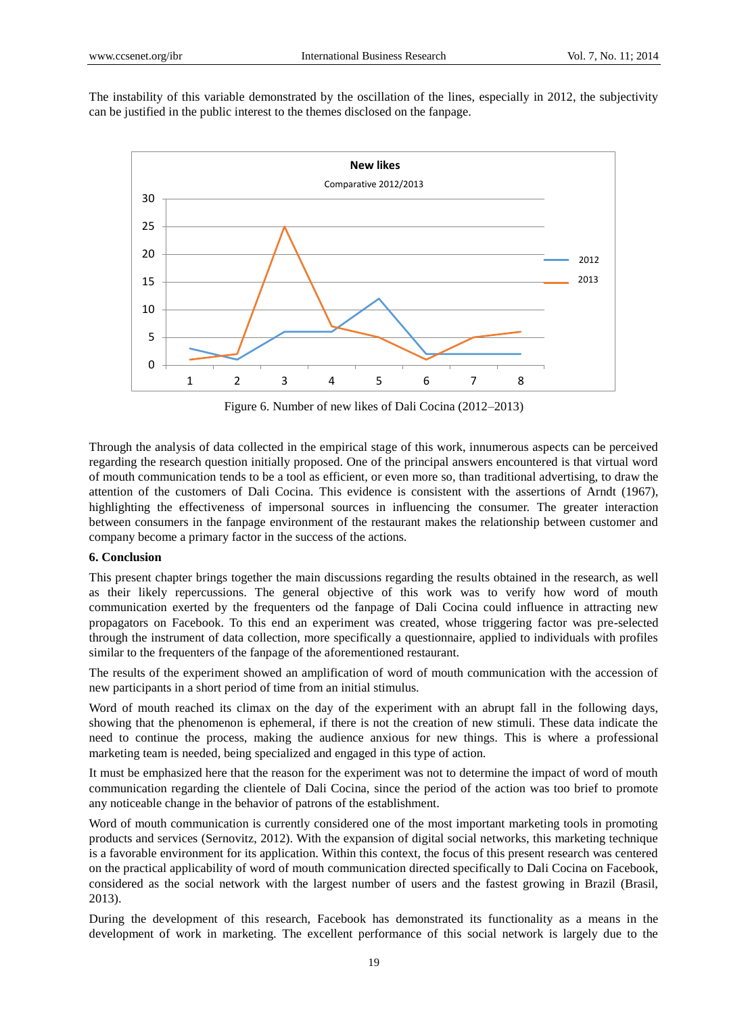The instability of this variable demonstrated by the oscillation of the lines, especially in 2012, the subjectivity can be justified in the public interest to the themes disclosed on the fanpage.



Figure 6. Number of new likes of Dali Cocina (2012–2013)

Through the analysis of data collected in the empirical stage of this work, innumerous aspects can be perceived regarding the research question initially proposed. One of the principal answers encountered is that virtual word of mouth communication tends to be a tool as efficient, or even more so, than traditional advertising, to draw the attention of the customers of Dali Cocina. This evidence is consistent with the assertions of Arndt (1967), highlighting the effectiveness of impersonal sources in influencing the consumer. The greater interaction between consumers in the fanpage environment of the restaurant makes the relationship between customer and company become a primary factor in the success of the actions.

#### **6. Conclusion**

This present chapter brings together the main discussions regarding the results obtained in the research, as well as their likely repercussions. The general objective of this work was to verify how word of mouth communication exerted by the frequenters od the fanpage of Dali Cocina could influence in attracting new propagators on Facebook. To this end an experiment was created, whose triggering factor was pre-selected through the instrument of data collection, more specifically a questionnaire, applied to individuals with profiles similar to the frequenters of the fanpage of the aforementioned restaurant.

The results of the experiment showed an amplification of word of mouth communication with the accession of new participants in a short period of time from an initial stimulus.

Word of mouth reached its climax on the day of the experiment with an abrupt fall in the following days, showing that the phenomenon is ephemeral, if there is not the creation of new stimuli. These data indicate the need to continue the process, making the audience anxious for new things. This is where a professional marketing team is needed, being specialized and engaged in this type of action.

It must be emphasized here that the reason for the experiment was not to determine the impact of word of mouth communication regarding the clientele of Dali Cocina, since the period of the action was too brief to promote any noticeable change in the behavior of patrons of the establishment.

Word of mouth communication is currently considered one of the most important marketing tools in promoting products and services (Sernovitz, 2012). With the expansion of digital social networks, this marketing technique is a favorable environment for its application. Within this context, the focus of this present research was centered on the practical applicability of word of mouth communication directed specifically to Dali Cocina on Facebook, considered as the social network with the largest number of users and the fastest growing in Brazil (Brasil, 2013).

During the development of this research, Facebook has demonstrated its functionality as a means in the development of work in marketing. The excellent performance of this social network is largely due to the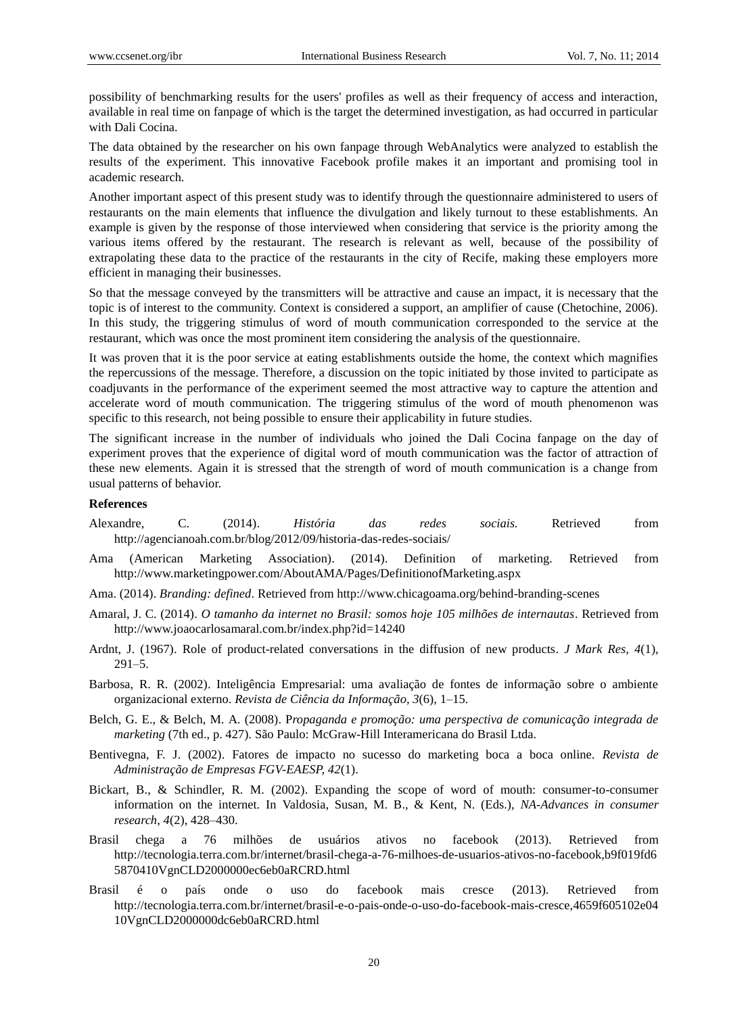possibility of benchmarking results for the users' profiles as well as their frequency of access and interaction, available in real time on fanpage of which is the target the determined investigation, as had occurred in particular with Dali Cocina.

The data obtained by the researcher on his own fanpage through WebAnalytics were analyzed to establish the results of the experiment. This innovative Facebook profile makes it an important and promising tool in academic research.

Another important aspect of this present study was to identify through the questionnaire administered to users of restaurants on the main elements that influence the divulgation and likely turnout to these establishments. An example is given by the response of those interviewed when considering that service is the priority among the various items offered by the restaurant. The research is relevant as well, because of the possibility of extrapolating these data to the practice of the restaurants in the city of Recife, making these employers more efficient in managing their businesses.

So that the message conveyed by the transmitters will be attractive and cause an impact, it is necessary that the topic is of interest to the community. Context is considered a support, an amplifier of cause (Chetochine, 2006). In this study, the triggering stimulus of word of mouth communication corresponded to the service at the restaurant, which was once the most prominent item considering the analysis of the questionnaire.

It was proven that it is the poor service at eating establishments outside the home, the context which magnifies the repercussions of the message. Therefore, a discussion on the topic initiated by those invited to participate as coadjuvants in the performance of the experiment seemed the most attractive way to capture the attention and accelerate word of mouth communication. The triggering stimulus of the word of mouth phenomenon was specific to this research, not being possible to ensure their applicability in future studies.

The significant increase in the number of individuals who joined the Dali Cocina fanpage on the day of experiment proves that the experience of digital word of mouth communication was the factor of attraction of these new elements. Again it is stressed that the strength of word of mouth communication is a change from usual patterns of behavior.

#### **References**

- Alexandre, C. (2014). *História das redes sociais.* Retrieved from http://agencianoah.com.br/blog/2012/09/historia-das-redes-sociais/
- Ama (American Marketing Association). (2014). Definition of marketing. Retrieved from http://www.marketingpower.com/AboutAMA/Pages/DefinitionofMarketing.aspx
- Ama. (2014). *Branding: defined*. Retrieved from http://www.chicagoama.org/behind-branding-scenes
- Amaral, J. C. (2014). *O tamanho da internet no Brasil: somos hoje 105 milhões de internautas*. Retrieved from http://www.joaocarlosamaral.com.br/index.php?id=14240
- Ardnt, J. (1967). Role of product-related conversations in the diffusion of new products. *J Mark Res, 4*(1), 291–5.
- Barbosa, R. R. (2002). Inteligência Empresarial: uma avaliação de fontes de informação sobre o ambiente organizacional externo. *Revista de Ciência da Informação, 3*(6), 1–15.
- Belch, G. E., & Belch, M. A. (2008). P*ropaganda e promoção: uma perspectiva de comunicação integrada de marketing* (7th ed., p. 427). São Paulo: McGraw-Hill Interamericana do Brasil Ltda.
- Bentivegna, F. J. (2002). Fatores de impacto no sucesso do marketing boca a boca online. *Revista de Administração de Empresas FGV-EAESP, 42*(1).
- Bickart, B., & Schindler, R. M. (2002). Expanding the scope of word of mouth: consumer-to-consumer information on the internet. In Valdosia, Susan, M. B., & Kent, N. (Eds.), *NA-Advances in consumer research, 4*(2), 428–430.
- Brasil chega a 76 milhões de usuários ativos no facebook (2013). Retrieved from http://tecnologia.terra.com.br/internet/brasil-chega-a-76-milhoes-de-usuarios-ativos-no-facebook,b9f019fd6 5870410VgnCLD2000000ec6eb0aRCRD.html
- Brasil é o país onde o uso do facebook mais cresce (2013). Retrieved from http://tecnologia.terra.com.br/internet/brasil-e-o-pais-onde-o-uso-do-facebook-mais-cresce,4659f605102e04 10VgnCLD2000000dc6eb0aRCRD.html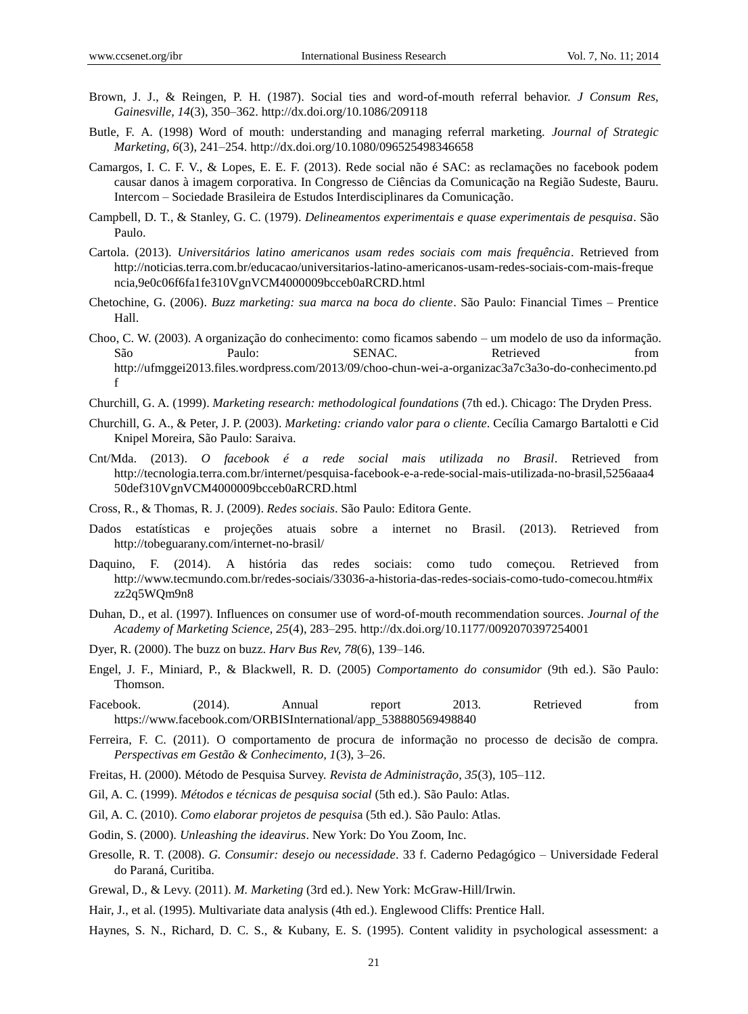- Brown, J. J., & Reingen, P. H. (1987). Social ties and word-of-mouth referral behavior. *J Consum Res, Gainesville, 14*(3), 350–362. http://dx.doi.org/10.1086/209118
- Butle, F. A. (1998) Word of mouth: understanding and managing referral marketing. *Journal of Strategic Marketing, 6*(3), 241–254. http://dx.doi.org/10.1080/096525498346658
- Camargos, I. C. F. V., & Lopes, E. E. F. (2013). Rede social não é SAC: as reclamações no facebook podem causar danos à imagem corporativa. In Congresso de Ciências da Comunicação na Região Sudeste, Bauru. Intercom – Sociedade Brasileira de Estudos Interdisciplinares da Comunicação.
- Campbell, D. T., & Stanley, G. C. (1979). *Delineamentos experimentais e quase experimentais de pesquisa*. São Paulo.
- Cartola. (2013). *Universitários latino americanos usam redes sociais com mais frequência*. Retrieved from http://noticias.terra.com.br/educacao/universitarios-latino-americanos-usam-redes-sociais-com-mais-freque ncia,9e0c06f6fa1fe310VgnVCM4000009bcceb0aRCRD.html
- Chetochine, G. (2006). *Buzz marketing: sua marca na boca do cliente*. São Paulo: Financial Times Prentice Hall.
- Choo, C. W. (2003). A organização do conhecimento: como ficamos sabendo um modelo de uso da informação. São Paulo: SENAC. Retrieved from http://ufmggei2013.files.wordpress.com/2013/09/choo-chun-wei-a-organizac3a7c3a3o-do-conhecimento.pd f
- Churchill, G. A. (1999). *Marketing research: methodological foundations* (7th ed.). Chicago: The Dryden Press.
- Churchill, G. A., & Peter, J. P. (2003). *Marketing: criando valor para o cliente*. Cecília Camargo Bartalotti e Cid Knipel Moreira, São Paulo: Saraiva.
- Cnt/Mda. (2013). *O facebook é a rede social mais utilizada no Brasil*. Retrieved from http://tecnologia.terra.com.br/internet/pesquisa-facebook-e-a-rede-social-mais-utilizada-no-brasil,5256aaa4 50def310VgnVCM4000009bcceb0aRCRD.html
- Cross, R., & Thomas, R. J. (2009). *Redes sociais*. São Paulo: Editora Gente.
- Dados estatísticas e projeções atuais sobre a internet no Brasil. (2013). Retrieved from http://tobeguarany.com/internet-no-brasil/
- Daquino, F. (2014). A história das redes sociais: como tudo começou. Retrieved from http://www.tecmundo.com.br/redes-sociais/33036-a-historia-das-redes-sociais-como-tudo-comecou.htm#ix zz2q5WQm9n8
- Duhan, D., et al. (1997). Influences on consumer use of word-of-mouth recommendation sources. *Journal of the Academy of Marketing Science, 25*(4), 283–295. http://dx.doi.org/10.1177/0092070397254001
- Dyer, R. (2000). The buzz on buzz. *Harv Bus Rev, 78*(6), 139–146.
- Engel, J. F., Miniard, P., & Blackwell, R. D. (2005) *Comportamento do consumidor* (9th ed.). São Paulo: Thomson.
- Facebook. (2014). Annual report 2013. Retrieved from https://www.facebook.com/ORBISInternational/app\_538880569498840
- Ferreira, F. C. (2011). O comportamento de procura de informação no processo de decisão de compra. *Perspectivas em Gestão & Conhecimento, 1*(3), 3–26.
- Freitas, H. (2000). Método de Pesquisa Survey. *Revista de Administração, 35*(3), 105–112.
- Gil, A. C. (1999). *Métodos e técnicas de pesquisa social* (5th ed.). São Paulo: Atlas.
- Gil, A. C. (2010). *Como elaborar projetos de pesquis*a (5th ed.). São Paulo: Atlas.
- Godin, S. (2000). *Unleashing the ideavirus*. New York: Do You Zoom, Inc.
- Gresolle, R. T. (2008). *G. Consumir: desejo ou necessidade*. 33 f. Caderno Pedagógico Universidade Federal do Paraná Curitiba.
- Grewal, D., & Levy. (2011). *M. Marketing* (3rd ed.). New York: McGraw-Hill/Irwin.
- Hair, J., et al. (1995). Multivariate data analysis (4th ed.). Englewood Cliffs: Prentice Hall.
- Haynes, S. N., Richard, D. C. S., & Kubany, E. S. (1995). Content validity in psychological assessment: a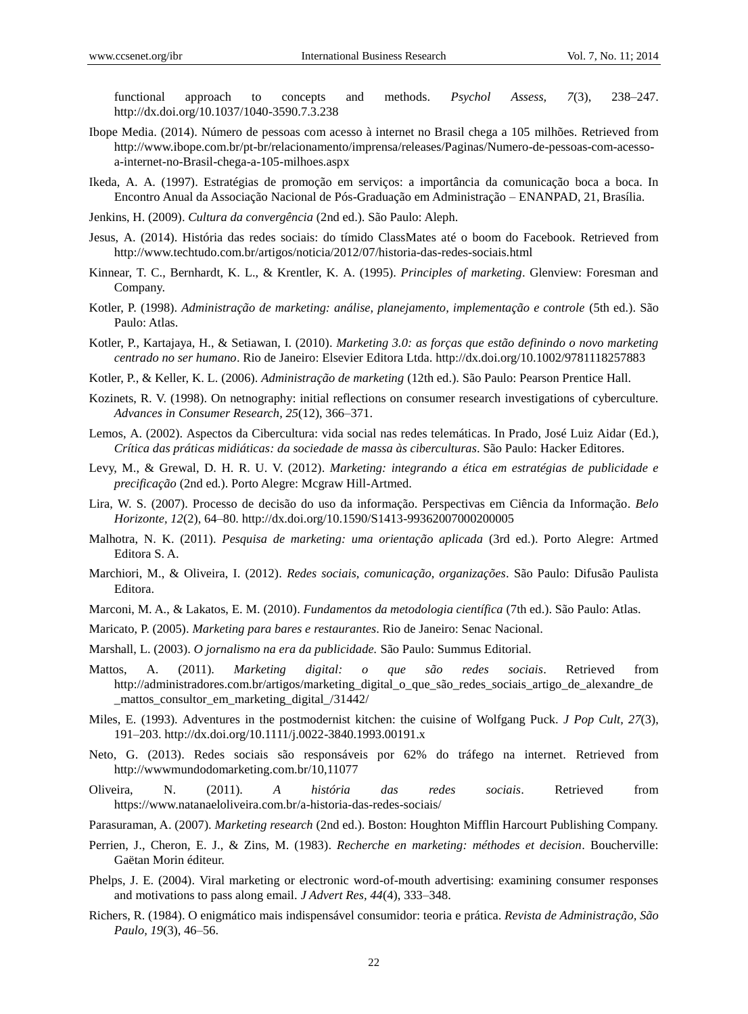functional approach to concepts and methods. *Psychol Assess, 7*(3), 238–247. http://dx.doi.org/10.1037/1040-3590.7.3.238

- Ibope Media. (2014). Número de pessoas com acesso à internet no Brasil chega a 105 milhões. Retrieved from http://www.ibope.com.br/pt-br/relacionamento/imprensa/releases/Paginas/Numero-de-pessoas-com-acessoa-internet-no-Brasil-chega-a-105-milhoes.aspx
- Ikeda, A. A. (1997). Estratégias de promoção em serviços: a importância da comunicação boca a boca. In Encontro Anual da Associação Nacional de Pós-Graduação em Administração – ENANPAD, 21, Brasília.
- Jenkins, H. (2009). *Cultura da convergência* (2nd ed.). São Paulo: Aleph.
- Jesus, A. (2014). História das redes sociais: do tímido ClassMates até o boom do Facebook. Retrieved from http://www.techtudo.com.br/artigos/noticia/2012/07/historia-das-redes-sociais.html
- Kinnear, T. C., Bernhardt, K. L., & Krentler, K. A. (1995). *Principles of marketing*. Glenview: Foresman and Company.
- Kotler, P. (1998). *Administração de marketing: análise, planejamento, implementação e controle* (5th ed.). São Paulo: Atlas.
- Kotler, P., Kartajaya, H., & Setiawan, I. (2010). *Marketing 3.0: as forças que estão definindo o novo marketing centrado no ser humano*. Rio de Janeiro: Elsevier Editora Ltda. http://dx.doi.org/10.1002/9781118257883
- Kotler, P., & Keller, K. L. (2006). *Administração de marketing* (12th ed.). São Paulo: Pearson Prentice Hall.
- Kozinets, R. V. (1998). On netnography: initial reflections on consumer research investigations of cyberculture. *Advances in Consumer Research, 25*(12), 366–371.
- Lemos, A. (2002). Aspectos da Cibercultura: vida social nas redes telemáticas. In Prado, José Luiz Aidar (Ed.), *Crítica das práticas midiáticas: da sociedade de massa às ciberculturas*. São Paulo: Hacker Editores.
- Levy, M., & Grewal, D. H. R. U. V. (2012). *Marketing: integrando a ética em estratégias de publicidade e precificação* (2nd ed.). Porto Alegre: Mcgraw Hill-Artmed.
- Lira, W. S. (2007). Processo de decisão do uso da informação. Perspectivas em Ciência da Informação. *Belo Horizonte, 12*(2), 64–80. http://dx.doi.org/10.1590/S1413-99362007000200005
- Malhotra, N. K. (2011). *Pesquisa de marketing: uma orientação aplicada* (3rd ed.). Porto Alegre: Artmed Editora S. A.
- Marchiori, M., & Oliveira, I. (2012). *Redes sociais, comunicação, organizações*. São Paulo: Difusão Paulista Editora.
- Marconi, M. A., & Lakatos, E. M. (2010). *Fundamentos da metodologia científica* (7th ed.). São Paulo: Atlas.
- Maricato, P. (2005). *Marketing para bares e restaurantes*. Rio de Janeiro: Senac Nacional.
- Marshall, L. (2003). *O jornalismo na era da publicidade.* São Paulo: Summus Editorial.
- Mattos, A. (2011). *Marketing digital: o que são redes sociais*. Retrieved from http://administradores.com.br/artigos/marketing\_digital\_o\_que\_são\_redes\_sociais\_artigo\_de\_alexandre\_de \_mattos\_consultor\_em\_marketing\_digital\_/31442/
- Miles, E. (1993). Adventures in the postmodernist kitchen: the cuisine of Wolfgang Puck. *J Pop Cult, 27*(3), 191–203. http://dx.doi.org/10.1111/j.0022-3840.1993.00191.x
- Neto, G. (2013). Redes sociais são responsáveis por 62% do tráfego na internet. Retrieved from http://wwwmundodomarketing.com.br/10,11077
- Oliveira, N. (2011). *A história das redes sociais*. Retrieved from https://www.natanaeloliveira.com.br/a-historia-das-redes-sociais/
- Parasuraman, A. (2007). *Marketing research* (2nd ed.). Boston: Houghton Mifflin Harcourt Publishing Company.
- Perrien, J., Cheron, E. J., & Zins, M. (1983). *Recherche en marketing: méthodes et decision*. Boucherville: Ga ëtan Morin éditeur.
- Phelps, J. E. (2004). Viral marketing or electronic word-of-mouth advertising: examining consumer responses and motivations to pass along email. *J Advert Res, 44*(4), 333–348.
- Richers, R. (1984). O enigmático mais indispensável consumidor: teoria e prática. *Revista de Administração, São Paulo, 19*(3), 46–56.